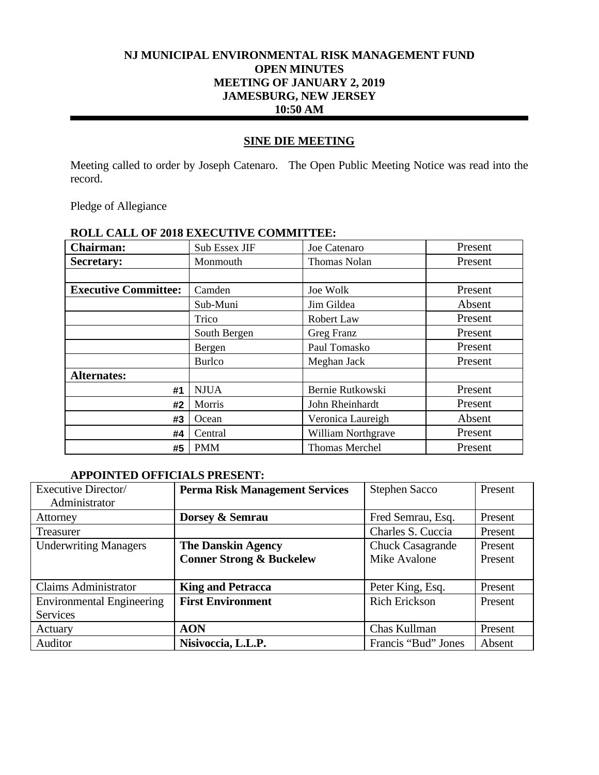# **NJ MUNICIPAL ENVIRONMENTAL RISK MANAGEMENT FUND OPEN MINUTES MEETING OF JANUARY 2, 2019 JAMESBURG, NEW JERSEY 10:50 AM**

# **SINE DIE MEETING**

Meeting called to order by Joseph Catenaro. The Open Public Meeting Notice was read into the record.

Pledge of Allegiance

| ROLL CALL OF 2010 LAECOTIVE COMMITTEE. |               |                       |         |  |
|----------------------------------------|---------------|-----------------------|---------|--|
| <b>Chairman:</b>                       | Sub Essex JIF | Joe Catenaro          | Present |  |
| <b>Secretary:</b>                      | Monmouth      | Thomas Nolan          | Present |  |
|                                        |               |                       |         |  |
| <b>Executive Committee:</b>            | Camden        | Joe Wolk              | Present |  |
|                                        | Sub-Muni      | Jim Gildea            | Absent  |  |
|                                        | Trico         | Robert Law            | Present |  |
|                                        | South Bergen  | Greg Franz            | Present |  |
|                                        | Bergen        | Paul Tomasko          | Present |  |
|                                        | <b>Burlco</b> | Meghan Jack           | Present |  |
| <b>Alternates:</b>                     |               |                       |         |  |
| #1                                     | <b>NJUA</b>   | Bernie Rutkowski      | Present |  |
| #2                                     | Morris        | John Rheinhardt       | Present |  |
| #3                                     | Ocean         | Veronica Laureigh     | Absent  |  |
| #4                                     | Central       | William Northgrave    | Present |  |
| #5                                     | <b>PMM</b>    | <b>Thomas Merchel</b> | Present |  |

# **ROLL CALL OF 2018 EXECUTIVE COMMITTEE:**

# **APPOINTED OFFICIALS PRESENT:**

| Executive Director/              | <b>Perma Risk Management Services</b> | <b>Stephen Sacco</b>    | Present |
|----------------------------------|---------------------------------------|-------------------------|---------|
| Administrator                    |                                       |                         |         |
| Attorney                         | Dorsey & Semrau                       | Fred Semrau, Esq.       | Present |
| Treasurer                        |                                       | Charles S. Cuccia       | Present |
| <b>Underwriting Managers</b>     | <b>The Danskin Agency</b>             | <b>Chuck Casagrande</b> | Present |
|                                  | <b>Conner Strong &amp; Buckelew</b>   | Mike Avalone            | Present |
|                                  |                                       |                         |         |
| <b>Claims Administrator</b>      | <b>King and Petracca</b>              | Peter King, Esq.        | Present |
| <b>Environmental Engineering</b> | <b>First Environment</b>              | <b>Rich Erickson</b>    | Present |
| <b>Services</b>                  |                                       |                         |         |
| Actuary                          | <b>AON</b>                            | Chas Kullman            | Present |
| Auditor                          | Nisivoccia, L.L.P.                    | Francis "Bud" Jones     | Absent  |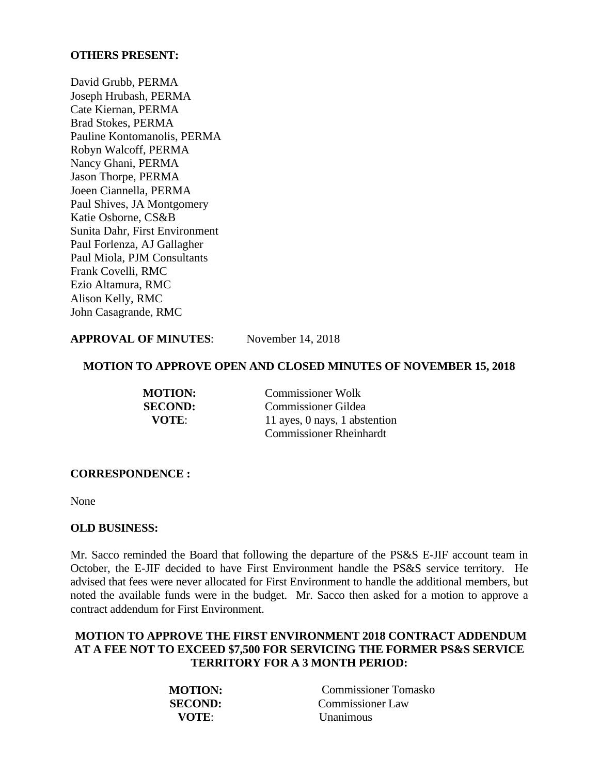#### **OTHERS PRESENT:**

David Grubb, PERMA Joseph Hrubash, PERMA Cate Kiernan, PERMA Brad Stokes, PERMA Pauline Kontomanolis, PERMA Robyn Walcoff, PERMA Nancy Ghani, PERMA Jason Thorpe, PERMA Joeen Ciannella, PERMA Paul Shives, JA Montgomery Katie Osborne, CS&B Sunita Dahr, First Environment Paul Forlenza, AJ Gallagher Paul Miola, PJM Consultants Frank Covelli, RMC Ezio Altamura, RMC Alison Kelly, RMC John Casagrande, RMC

### **APPROVAL OF MINUTES**: November 14, 2018

#### **MOTION TO APPROVE OPEN AND CLOSED MINUTES OF NOVEMBER 15, 2018**

| <b>MOTION:</b> | <b>Commissioner Wolk</b>       |  |
|----------------|--------------------------------|--|
| <b>SECOND:</b> | <b>Commissioner Gildea</b>     |  |
| VOTE:          | 11 ayes, 0 nays, 1 abstention  |  |
|                | <b>Commissioner Rheinhardt</b> |  |

#### **CORRESPONDENCE :**

None

#### **OLD BUSINESS:**

Mr. Sacco reminded the Board that following the departure of the PS&S E-JIF account team in October, the E-JIF decided to have First Environment handle the PS&S service territory. He advised that fees were never allocated for First Environment to handle the additional members, but noted the available funds were in the budget. Mr. Sacco then asked for a motion to approve a contract addendum for First Environment.

# **MOTION TO APPROVE THE FIRST ENVIRONMENT 2018 CONTRACT ADDENDUM AT A FEE NOT TO EXCEED \$7,500 FOR SERVICING THE FORMER PS&S SERVICE TERRITORY FOR A 3 MONTH PERIOD:**

| <b>MOTION:</b> | Commissioner Tomasko |
|----------------|----------------------|
| <b>SECOND:</b> | Commissioner Law     |
| VOTE:          | <b>Unanimous</b>     |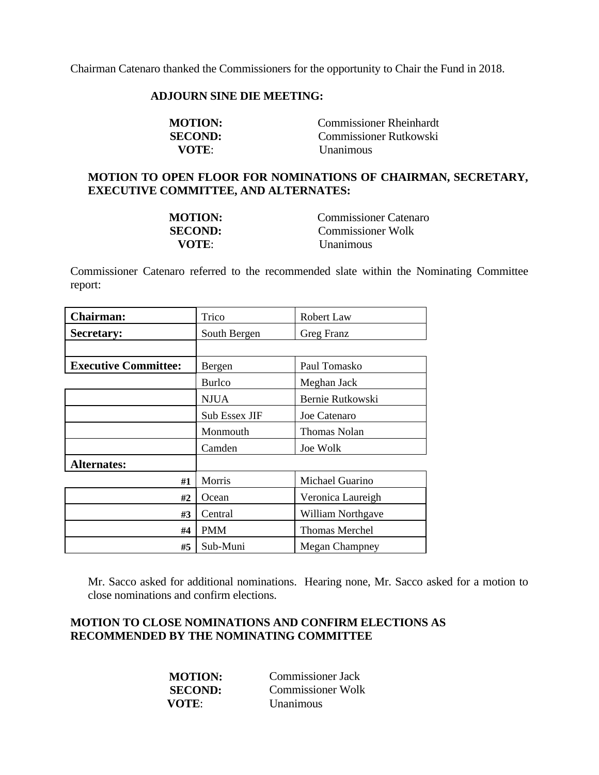Chairman Catenaro thanked the Commissioners for the opportunity to Chair the Fund in 2018.

#### **ADJOURN SINE DIE MEETING:**

| <b>MOTION:</b> | <b>Commissioner Rheinhardt</b> |
|----------------|--------------------------------|
| <b>SECOND:</b> | <b>Commissioner Rutkowski</b>  |
| VOTE:          | <i>Unanimous</i>               |

# **MOTION TO OPEN FLOOR FOR NOMINATIONS OF CHAIRMAN, SECRETARY, EXECUTIVE COMMITTEE, AND ALTERNATES:**

| <b>MOTION:</b> | Commissioner Catenaro |
|----------------|-----------------------|
| <b>SECOND:</b> | Commissioner Wolk     |
| VOTE:          | <i>Unanimous</i>      |

Commissioner Catenaro referred to the recommended slate within the Nominating Committee report:

| <b>Chairman:</b>            | Trico         | Robert Law            |
|-----------------------------|---------------|-----------------------|
| <b>Secretary:</b>           | South Bergen  | Greg Franz            |
|                             |               |                       |
| <b>Executive Committee:</b> | Bergen        | Paul Tomasko          |
|                             | <b>Burlco</b> | Meghan Jack           |
|                             | <b>NJUA</b>   | Bernie Rutkowski      |
|                             | Sub Essex JIF | Joe Catenaro          |
|                             | Monmouth      | Thomas Nolan          |
|                             | Camden        | Joe Wolk              |
| <b>Alternates:</b>          |               |                       |
| #1                          | Morris        | Michael Guarino       |
| #2                          | Ocean         | Veronica Laureigh     |
| #3                          | Central       | William Northgave     |
| #4                          | <b>PMM</b>    | <b>Thomas Merchel</b> |
| #5                          | Sub-Muni      | <b>Megan Champney</b> |

Mr. Sacco asked for additional nominations. Hearing none, Mr. Sacco asked for a motion to close nominations and confirm elections.

## **MOTION TO CLOSE NOMINATIONS AND CONFIRM ELECTIONS AS RECOMMENDED BY THE NOMINATING COMMITTEE**

| <b>MOTION:</b> | Commissioner Jack        |
|----------------|--------------------------|
| <b>SECOND:</b> | <b>Commissioner Wolk</b> |
| VOTE:          | <b>Unanimous</b>         |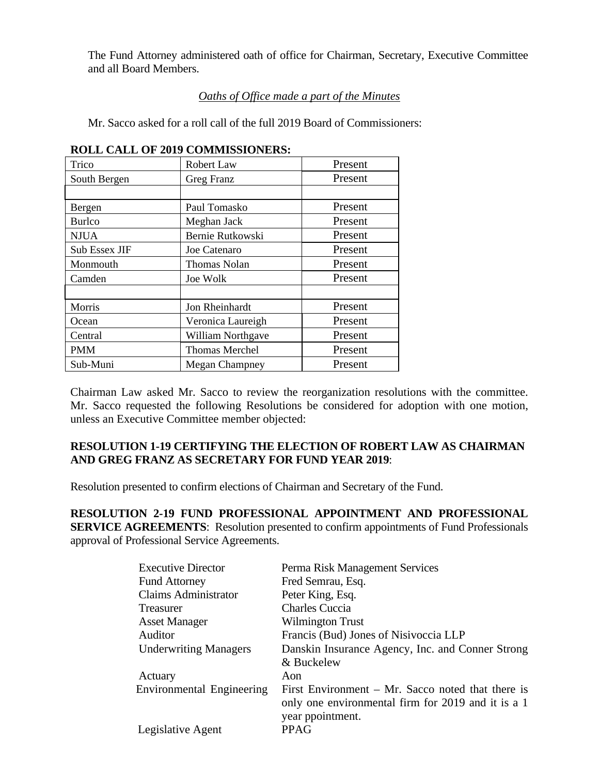The Fund Attorney administered oath of office for Chairman, Secretary, Executive Committee and all Board Members.

# *Oaths of Office made a part of the Minutes*

Mr. Sacco asked for a roll call of the full 2019 Board of Commissioners:

| Trico                | <b>Robert Law</b>     | Present |
|----------------------|-----------------------|---------|
| South Bergen         | Greg Franz            | Present |
|                      |                       |         |
| Bergen               | Paul Tomasko          | Present |
| <b>Burlco</b>        | Meghan Jack           | Present |
| <b>NJUA</b>          | Bernie Rutkowski      | Present |
| <b>Sub Essex JIF</b> | Joe Catenaro          | Present |
| Monmouth             | <b>Thomas Nolan</b>   | Present |
| Camden               | <b>Joe Wolk</b>       | Present |
|                      |                       |         |
| Morris               | Jon Rheinhardt        | Present |
| Ocean                | Veronica Laureigh     | Present |
| Central              | William Northgave     | Present |
| <b>PMM</b>           | <b>Thomas Merchel</b> | Present |
| Sub-Muni             | <b>Megan Champney</b> | Present |

#### **ROLL CALL OF 2019 COMMISSIONERS:**

Chairman Law asked Mr. Sacco to review the reorganization resolutions with the committee. Mr. Sacco requested the following Resolutions be considered for adoption with one motion, unless an Executive Committee member objected:

# **RESOLUTION 1-19 CERTIFYING THE ELECTION OF ROBERT LAW AS CHAIRMAN AND GREG FRANZ AS SECRETARY FOR FUND YEAR 2019**:

Resolution presented to confirm elections of Chairman and Secretary of the Fund.

**RESOLUTION 2-19 FUND PROFESSIONAL APPOINTMENT AND PROFESSIONAL SERVICE AGREEMENTS**: Resolution presented to confirm appointments of Fund Professionals approval of Professional Service Agreements.

| <b>Executive Director</b>    | Perma Risk Management Services                      |
|------------------------------|-----------------------------------------------------|
| <b>Fund Attorney</b>         | Fred Semrau, Esq.                                   |
| <b>Claims Administrator</b>  | Peter King, Esq.                                    |
| <b>Treasurer</b>             | <b>Charles Cuccia</b>                               |
| <b>Asset Manager</b>         | <b>Wilmington Trust</b>                             |
| Auditor                      | Francis (Bud) Jones of Nisivoccia LLP               |
| <b>Underwriting Managers</b> | Danskin Insurance Agency, Inc. and Conner Strong    |
|                              | & Buckelew                                          |
| Actuary                      | Aon                                                 |
| Environmental Engineering    | First Environment $- Mr.$ Sacco noted that there is |
|                              | only one environmental firm for 2019 and it is a 1  |
|                              | year ppointment.                                    |
| Legislative Agent            | <b>PPAG</b>                                         |
|                              |                                                     |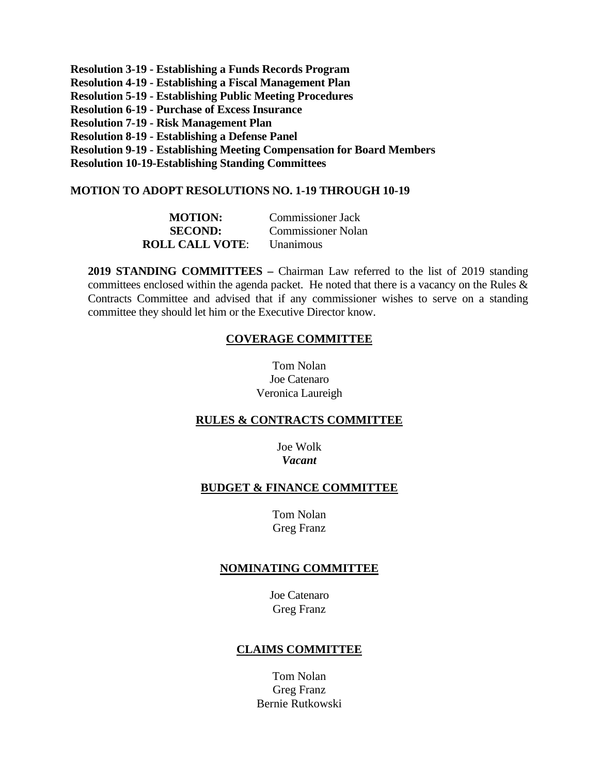**Resolution 3-19 - Establishing a Funds Records Program Resolution 4-19 - Establishing a Fiscal Management Plan Resolution 5-19 - Establishing Public Meeting Procedures Resolution 6-19 - Purchase of Excess Insurance Resolution 7-19 - Risk Management Plan Resolution 8-19 - Establishing a Defense Panel Resolution 9-19 - Establishing Meeting Compensation for Board Members Resolution 10-19-Establishing Standing Committees** 

#### **MOTION TO ADOPT RESOLUTIONS NO. 1-19 THROUGH 10-19**

| <b>MOTION:</b>         | <b>Commissioner Jack</b>  |
|------------------------|---------------------------|
| <b>SECOND:</b>         | <b>Commissioner Nolan</b> |
| <b>ROLL CALL VOTE:</b> | <i>Unanimous</i>          |

**2019 STANDING COMMITTEES –** Chairman Law referred to the list of 2019 standing committees enclosed within the agenda packet. He noted that there is a vacancy on the Rules  $\&$ Contracts Committee and advised that if any commissioner wishes to serve on a standing committee they should let him or the Executive Director know.

#### **COVERAGE COMMITTEE**

Tom Nolan Joe Catenaro Veronica Laureigh

#### **RULES & CONTRACTS COMMITTEE**

Joe Wolk *Vacant* 

#### **BUDGET & FINANCE COMMITTEE**

Tom Nolan Greg Franz

### **NOMINATING COMMITTEE**

Joe Catenaro Greg Franz

#### **CLAIMS COMMITTEE**

Tom Nolan Greg Franz Bernie Rutkowski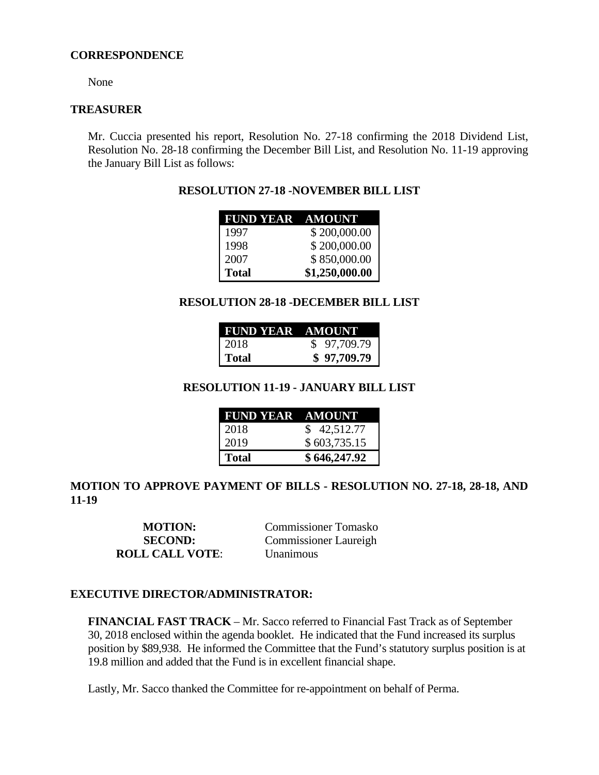#### **CORRESPONDENCE**

None

#### **TREASURER**

Mr. Cuccia presented his report, Resolution No. 27-18 confirming the 2018 Dividend List, Resolution No. 28-18 confirming the December Bill List, and Resolution No. 11-19 approving the January Bill List as follows:

# **RESOLUTION 27-18 -NOVEMBER BILL LIST**

| FUND YEAR AMOUNT |                |
|------------------|----------------|
| 1997             | \$200,000.00   |
| 1998             | \$200,000.00   |
| 2007             | \$850,000.00   |
| <b>Total</b>     | \$1,250,000.00 |

### **RESOLUTION 28-18 -DECEMBER BILL LIST**

| FUND YEAR AMOUNT |             |
|------------------|-------------|
| 2018             | \$97,709.79 |
| Total            | \$97,709.79 |

# **RESOLUTION 11-19 - JANUARY BILL LIST**

| <b>FUND YEAR AMOUNT</b> |              |
|-------------------------|--------------|
| 2018                    | \$42,512.77  |
| 2019                    | \$603,735.15 |
| l Total                 | \$646,247.92 |

# **MOTION TO APPROVE PAYMENT OF BILLS - RESOLUTION NO. 27-18, 28-18, AND 11-19**

**ROLL CALL VOTE**: Unanimous

**MOTION:** Commissioner Tomasko **SECOND:** Commissioner Laureigh

#### **EXECUTIVE DIRECTOR/ADMINISTRATOR:**

**FINANCIAL FAST TRACK** – Mr. Sacco referred to Financial Fast Track as of September 30, 2018 enclosed within the agenda booklet. He indicated that the Fund increased its surplus position by \$89,938. He informed the Committee that the Fund's statutory surplus position is at 19.8 million and added that the Fund is in excellent financial shape.

Lastly, Mr. Sacco thanked the Committee for re-appointment on behalf of Perma.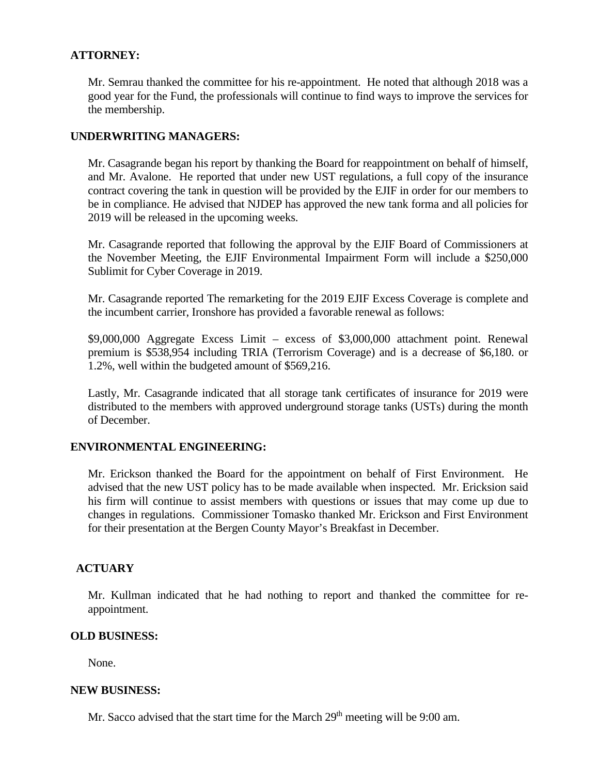### **ATTORNEY:**

Mr. Semrau thanked the committee for his re-appointment. He noted that although 2018 was a good year for the Fund, the professionals will continue to find ways to improve the services for the membership.

### **UNDERWRITING MANAGERS:**

Mr. Casagrande began his report by thanking the Board for reappointment on behalf of himself, and Mr. Avalone. He reported that under new UST regulations, a full copy of the insurance contract covering the tank in question will be provided by the EJIF in order for our members to be in compliance. He advised that NJDEP has approved the new tank forma and all policies for 2019 will be released in the upcoming weeks.

Mr. Casagrande reported that following the approval by the EJIF Board of Commissioners at the November Meeting, the EJIF Environmental Impairment Form will include a \$250,000 Sublimit for Cyber Coverage in 2019.

Mr. Casagrande reported The remarketing for the 2019 EJIF Excess Coverage is complete and the incumbent carrier, Ironshore has provided a favorable renewal as follows:

\$9,000,000 Aggregate Excess Limit – excess of \$3,000,000 attachment point. Renewal premium is \$538,954 including TRIA (Terrorism Coverage) and is a decrease of \$6,180. or 1.2%, well within the budgeted amount of \$569,216.

Lastly, Mr. Casagrande indicated that all storage tank certificates of insurance for 2019 were distributed to the members with approved underground storage tanks (USTs) during the month of December.

### **ENVIRONMENTAL ENGINEERING:**

Mr. Erickson thanked the Board for the appointment on behalf of First Environment. He advised that the new UST policy has to be made available when inspected. Mr. Ericksion said his firm will continue to assist members with questions or issues that may come up due to changes in regulations. Commissioner Tomasko thanked Mr. Erickson and First Environment for their presentation at the Bergen County Mayor's Breakfast in December.

### **ACTUARY**

Mr. Kullman indicated that he had nothing to report and thanked the committee for reappointment.

### **OLD BUSINESS:**

None.

#### **NEW BUSINESS:**

Mr. Sacco advised that the start time for the March  $29<sup>th</sup>$  meeting will be 9:00 am.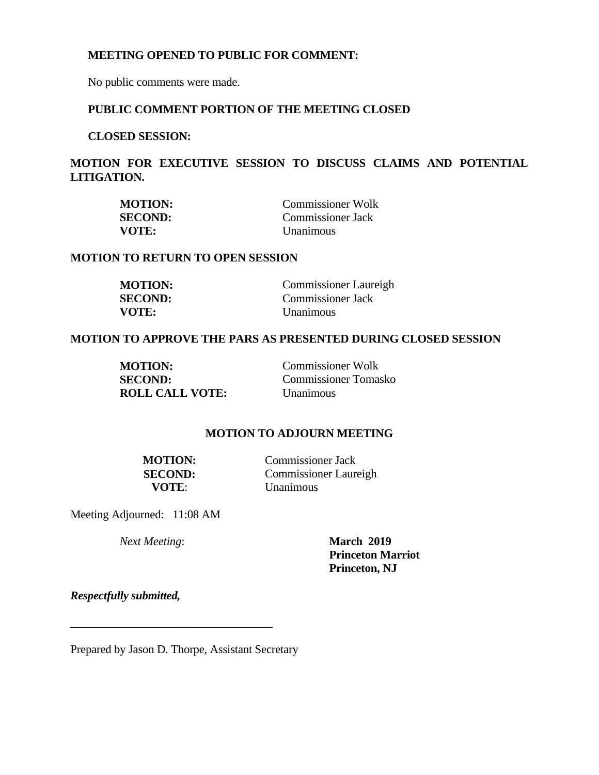#### **MEETING OPENED TO PUBLIC FOR COMMENT:**

No public comments were made.

## **PUBLIC COMMENT PORTION OF THE MEETING CLOSED**

**CLOSED SESSION:** 

**MOTION FOR EXECUTIVE SESSION TO DISCUSS CLAIMS AND POTENTIAL LITIGATION.** 

| <b>MOTION:</b> | <b>Commissioner Wolk</b> |
|----------------|--------------------------|
| <b>SECOND:</b> | Commissioner Jack        |
| VOTE:          | <i>Unanimous</i>         |

#### **MOTION TO RETURN TO OPEN SESSION**

| <b>MOTION:</b> | <b>Commissioner Laureigh</b> |
|----------------|------------------------------|
| <b>SECOND:</b> | Commissioner Jack            |
| VOTE:          | <b>Unanimous</b>             |

#### **MOTION TO APPROVE THE PARS AS PRESENTED DURING CLOSED SESSION**

| <b>MOTION:</b>         | <b>Commissioner Wolk</b>    |
|------------------------|-----------------------------|
| <b>SECOND:</b>         | <b>Commissioner Tomasko</b> |
| <b>ROLL CALL VOTE:</b> | Unanimous                   |

# **MOTION TO ADJOURN MEETING**

| MOTION: |  |
|---------|--|
| SECOND: |  |
| VOTE:   |  |

**Commissioner Jack Commissioner Laureigh** *<u>Unanimous</u>* 

Meeting Adjourned: 11:08 AM

*Next Meeting*: **March 2019** 

**Princeton Marriot Princeton, NJ** 

*Respectfully submitted,*

Prepared by Jason D. Thorpe, Assistant Secretary

\_\_\_\_\_\_\_\_\_\_\_\_\_\_\_\_\_\_\_\_\_\_\_\_\_\_\_\_\_\_\_\_\_\_\_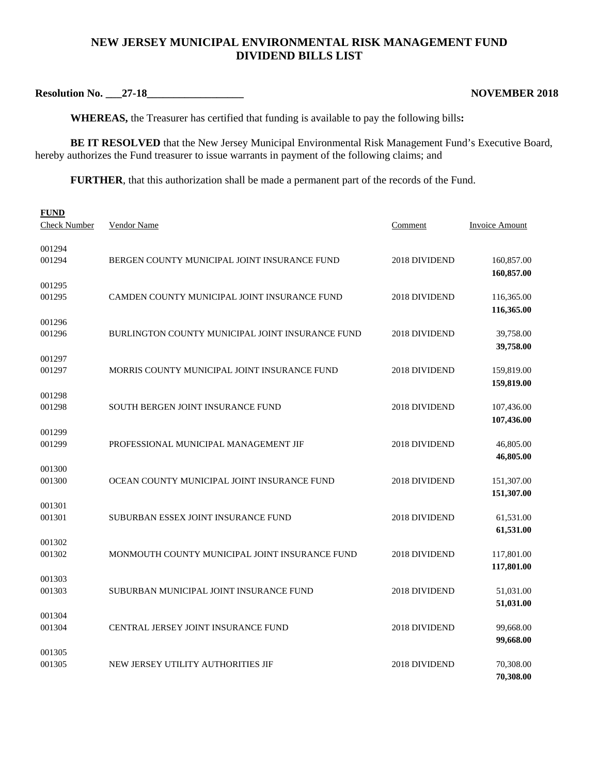# **NEW JERSEY MUNICIPAL ENVIRONMENTAL RISK MANAGEMENT FUND DIVIDEND BILLS LIST**

**Resolution No. \_\_\_27-18\_\_\_\_\_\_\_\_\_\_\_\_\_\_\_\_\_\_ NOVEMBER 2018** 

**WHEREAS,** the Treasurer has certified that funding is available to pay the following bills**:** 

**BE IT RESOLVED** that the New Jersey Municipal Environmental Risk Management Fund's Executive Board, hereby authorizes the Fund treasurer to issue warrants in payment of the following claims; and

**FURTHER**, that this authorization shall be made a permanent part of the records of the Fund.

| <b>FUND</b><br><b>Check Number</b> | Vendor Name                                      | <b>Comment</b> | Invoice Amount           |
|------------------------------------|--------------------------------------------------|----------------|--------------------------|
| 001294<br>001294                   | BERGEN COUNTY MUNICIPAL JOINT INSURANCE FUND     | 2018 DIVIDEND  | 160,857.00<br>160,857.00 |
| 001295<br>001295                   | CAMDEN COUNTY MUNICIPAL JOINT INSURANCE FUND     | 2018 DIVIDEND  | 116,365.00<br>116,365.00 |
| 001296<br>001296                   | BURLINGTON COUNTY MUNICIPAL JOINT INSURANCE FUND | 2018 DIVIDEND  | 39,758.00<br>39,758.00   |
| 001297<br>001297                   | MORRIS COUNTY MUNICIPAL JOINT INSURANCE FUND     | 2018 DIVIDEND  | 159,819.00<br>159,819.00 |
| 001298<br>001298                   | <b>SOUTH BERGEN JOINT INSURANCE FUND</b>         | 2018 DIVIDEND  | 107,436.00<br>107,436.00 |
| 001299<br>001299                   | PROFESSIONAL MUNICIPAL MANAGEMENT JIF            | 2018 DIVIDEND  | 46,805.00<br>46,805.00   |
| 001300<br>001300                   | OCEAN COUNTY MUNICIPAL JOINT INSURANCE FUND      | 2018 DIVIDEND  | 151,307.00<br>151,307.00 |
| 001301<br>001301                   | SUBURBAN ESSEX JOINT INSURANCE FUND              | 2018 DIVIDEND  | 61,531.00<br>61,531.00   |
| 001302<br>001302                   | MONMOUTH COUNTY MUNICIPAL JOINT INSURANCE FUND   | 2018 DIVIDEND  | 117,801.00<br>117,801.00 |
| 001303<br>001303                   | SUBURBAN MUNICIPAL JOINT INSURANCE FUND          | 2018 DIVIDEND  | 51,031.00<br>51,031.00   |
| 001304<br>001304                   | <b>CENTRAL JERSEY JOINT INSURANCE FUND</b>       | 2018 DIVIDEND  | 99,668.00<br>99,668.00   |
| 001305<br>001305                   | NEW JERSEY UTILITY AUTHORITIES JIF               | 2018 DIVIDEND  | 70,308.00<br>70,308.00   |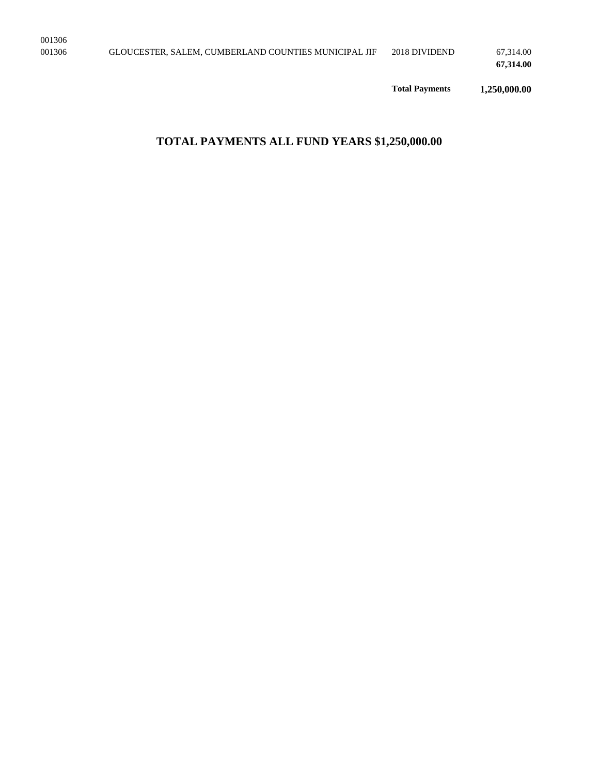**Total Payments 1,250,000.00** 

# **TOTAL PAYMENTS ALL FUND YEARS \$1,250,000.00**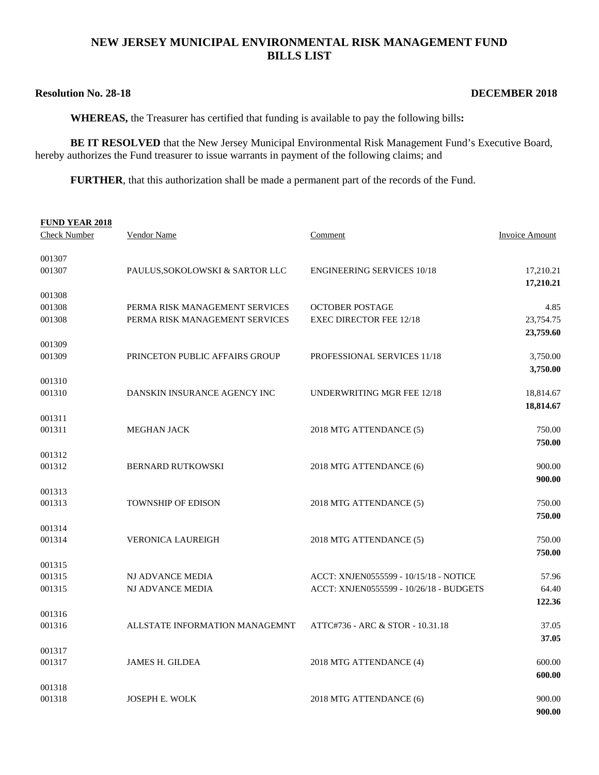### **NEW JERSEY MUNICIPAL ENVIRONMENTAL RISK MANAGEMENT FUND BILLS LIST**

# **Resolution No. 28-18** DECEMBER 2018

**WHEREAS,** the Treasurer has certified that funding is available to pay the following bills**:** 

**BE IT RESOLVED** that the New Jersey Municipal Environmental Risk Management Fund's Executive Board, hereby authorizes the Fund treasurer to issue warrants in payment of the following claims; and

**FURTHER**, that this authorization shall be made a permanent part of the records of the Fund.

| <b>FUND YEAR 2018</b> |                                 |                                         |                |
|-----------------------|---------------------------------|-----------------------------------------|----------------|
| <b>Check Number</b>   | Vendor Name                     | Comment                                 | Invoice Amount |
| 001307                |                                 |                                         |                |
| 001307                | PAULUS, SOKOLOWSKI & SARTOR LLC | <b>ENGINEERING SERVICES 10/18</b>       | 17,210.21      |
|                       |                                 |                                         | 17,210.21      |
| 001308                |                                 |                                         |                |
| 001308                | PERMA RISK MANAGEMENT SERVICES  | <b>OCTOBER POSTAGE</b>                  | 4.85           |
| 001308                | PERMA RISK MANAGEMENT SERVICES  | <b>EXEC DIRECTOR FEE 12/18</b>          | 23,754.75      |
|                       |                                 |                                         | 23,759.60      |
| 001309<br>001309      | PRINCETON PUBLIC AFFAIRS GROUP  | PROFESSIONAL SERVICES 11/18             | 3,750.00       |
|                       |                                 |                                         | 3,750.00       |
| 001310                |                                 |                                         |                |
| 001310                | DANSKIN INSURANCE AGENCY INC    | UNDERWRITING MGR FEE 12/18              | 18,814.67      |
|                       |                                 |                                         | 18,814.67      |
| 001311                |                                 |                                         |                |
| 001311                | <b>MEGHAN JACK</b>              | 2018 MTG ATTENDANCE (5)                 | 750.00         |
|                       |                                 |                                         | 750.00         |
| 001312                |                                 |                                         |                |
| 001312                | <b>BERNARD RUTKOWSKI</b>        | 2018 MTG ATTENDANCE (6)                 | 900.00         |
|                       |                                 |                                         | 900.00         |
| 001313                |                                 |                                         |                |
| 001313                | <b>TOWNSHIP OF EDISON</b>       | 2018 MTG ATTENDANCE (5)                 | 750.00         |
|                       |                                 |                                         | 750.00         |
| 001314<br>001314      | <b>VERONICA LAUREIGH</b>        | 2018 MTG ATTENDANCE (5)                 | 750.00         |
|                       |                                 |                                         | 750.00         |
| 001315                |                                 |                                         |                |
| 001315                | NJ ADVANCE MEDIA                | ACCT: XNJEN0555599 - 10/15/18 - NOTICE  | 57.96          |
| 001315                | NJ ADVANCE MEDIA                | ACCT: XNJEN0555599 - 10/26/18 - BUDGETS | 64.40          |
|                       |                                 |                                         | 122.36         |
| 001316                |                                 |                                         |                |
| 001316                | ALLSTATE INFORMATION MANAGEMNT  | ATTC#736 - ARC & STOR - 10.31.18        | 37.05          |
|                       |                                 |                                         | 37.05          |
| 001317                |                                 |                                         |                |
| 001317                | <b>JAMES H. GILDEA</b>          | 2018 MTG ATTENDANCE (4)                 | 600.00         |
|                       |                                 |                                         | 600.00         |
| 001318                |                                 |                                         |                |
| 001318                | JOSEPH E. WOLK                  | 2018 MTG ATTENDANCE (6)                 | 900.00         |
|                       |                                 |                                         | 900.00         |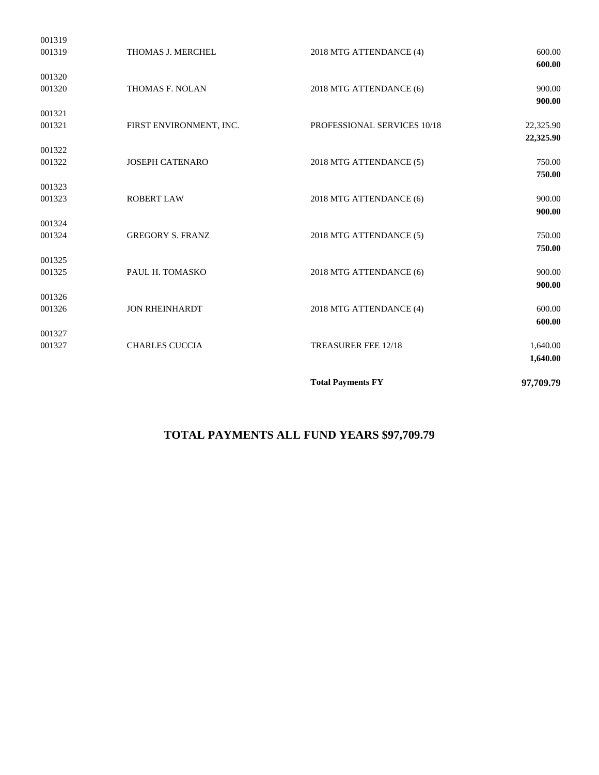|                  |                         |                             | 1,640.00               |
|------------------|-------------------------|-----------------------------|------------------------|
| 001327<br>001327 | <b>CHARLES CUCCIA</b>   | TREASURER FEE 12/18         | 1,640.00               |
|                  |                         |                             | 600.00                 |
| 001326<br>001326 | <b>JON RHEINHARDT</b>   | 2018 MTG ATTENDANCE (4)     | 600.00                 |
| 001325           | PAUL H. TOMASKO         | 2018 MTG ATTENDANCE (6)     | 900.00<br>900.00       |
| 001325           |                         |                             | 750.00                 |
| 001324<br>001324 | <b>GREGORY S. FRANZ</b> | 2018 MTG ATTENDANCE (5)     | 750.00                 |
| 001323<br>001323 | <b>ROBERT LAW</b>       | 2018 MTG ATTENDANCE (6)     | 900.00<br>900.00       |
| 001322<br>001322 | <b>JOSEPH CATENARO</b>  | 2018 MTG ATTENDANCE (5)     | 750.00<br>750.00       |
| 001321<br>001321 | FIRST ENVIRONMENT, INC. | PROFESSIONAL SERVICES 10/18 | 22,325.90<br>22,325.90 |
| 001320<br>001320 | THOMAS F. NOLAN         | 2018 MTG ATTENDANCE (6)     | 900.00<br>900.00       |
| 001319<br>001319 | THOMAS J. MERCHEL       | 2018 MTG ATTENDANCE (4)     | 600.00<br>600.00       |

# **TOTAL PAYMENTS ALL FUND YEARS \$97,709.79**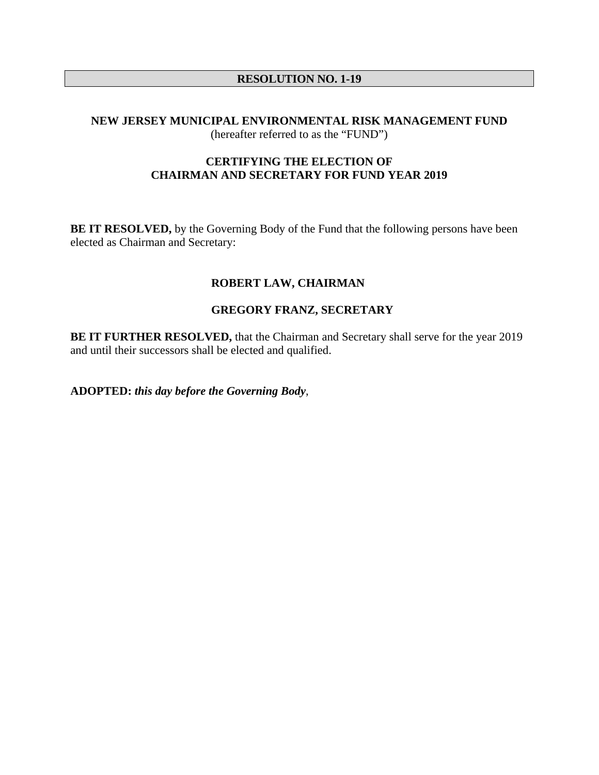# **RESOLUTION NO. 1-19**

### **NEW JERSEY MUNICIPAL ENVIRONMENTAL RISK MANAGEMENT FUND**  (hereafter referred to as the "FUND")

# **CERTIFYING THE ELECTION OF CHAIRMAN AND SECRETARY FOR FUND YEAR 2019**

**BE IT RESOLVED,** by the Governing Body of the Fund that the following persons have been elected as Chairman and Secretary:

# **ROBERT LAW, CHAIRMAN**

# **GREGORY FRANZ, SECRETARY**

**BE IT FURTHER RESOLVED, that the Chairman and Secretary shall serve for the year 2019** and until their successors shall be elected and qualified.

**ADOPTED:** *this day before the Governing Body*,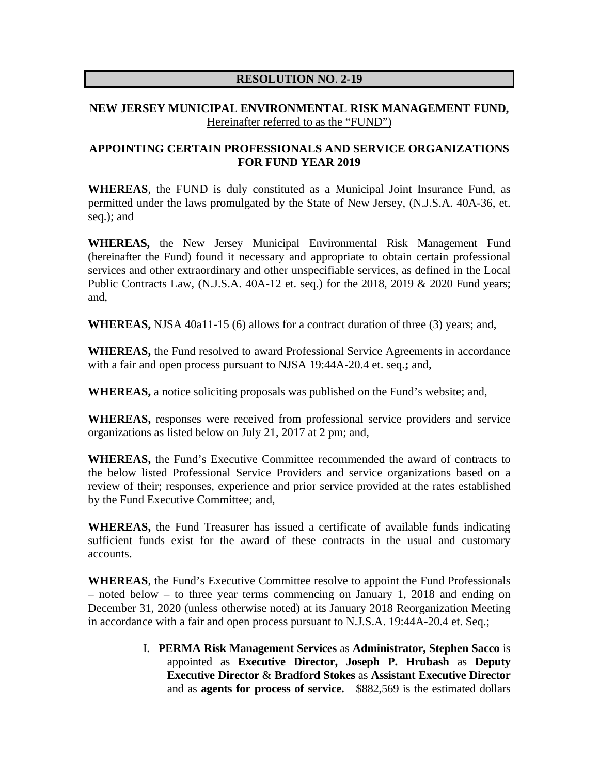# **RESOLUTION NO**. **2-19**

# **NEW JERSEY MUNICIPAL ENVIRONMENTAL RISK MANAGEMENT FUND,**  Hereinafter referred to as the "FUND")

# **APPOINTING CERTAIN PROFESSIONALS AND SERVICE ORGANIZATIONS FOR FUND YEAR 2019**

**WHEREAS**, the FUND is duly constituted as a Municipal Joint Insurance Fund, as permitted under the laws promulgated by the State of New Jersey, (N.J.S.A. 40A-36, et. seq.); and

**WHEREAS,** the New Jersey Municipal Environmental Risk Management Fund (hereinafter the Fund) found it necessary and appropriate to obtain certain professional services and other extraordinary and other unspecifiable services, as defined in the Local Public Contracts Law, (N.J.S.A. 40A-12 et. seq.) for the 2018, 2019 & 2020 Fund years; and,

**WHEREAS,** NJSA 40a11-15 (6) allows for a contract duration of three (3) years; and,

**WHEREAS,** the Fund resolved to award Professional Service Agreements in accordance with a fair and open process pursuant to NJSA 19:44A-20.4 et. seq.**;** and,

**WHEREAS,** a notice soliciting proposals was published on the Fund's website; and,

**WHEREAS,** responses were received from professional service providers and service organizations as listed below on July 21, 2017 at 2 pm; and,

**WHEREAS,** the Fund's Executive Committee recommended the award of contracts to the below listed Professional Service Providers and service organizations based on a review of their; responses, experience and prior service provided at the rates established by the Fund Executive Committee; and,

**WHEREAS,** the Fund Treasurer has issued a certificate of available funds indicating sufficient funds exist for the award of these contracts in the usual and customary accounts.

**WHEREAS**, the Fund's Executive Committee resolve to appoint the Fund Professionals – noted below – to three year terms commencing on January 1, 2018 and ending on December 31, 2020 (unless otherwise noted) at its January 2018 Reorganization Meeting in accordance with a fair and open process pursuant to N.J.S.A. 19:44A-20.4 et. Seq.;

> I. **PERMA Risk Management Services** as **Administrator, Stephen Sacco** is appointed as **Executive Director, Joseph P. Hrubash** as **Deputy Executive Director** & **Bradford Stokes** as **Assistant Executive Director**  and as **agents for process of service.** \$882,569 is the estimated dollars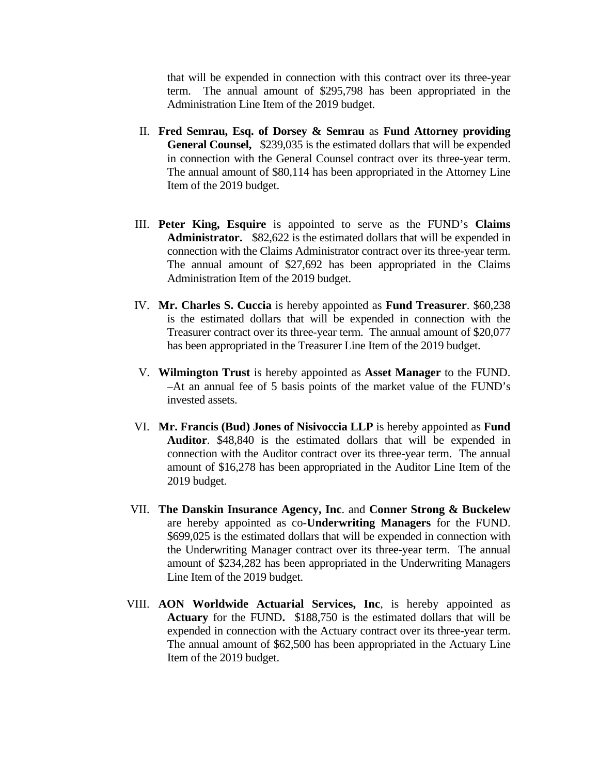that will be expended in connection with this contract over its three-year term. The annual amount of \$295,798 has been appropriated in the Administration Line Item of the 2019 budget.

- II. **Fred Semrau, Esq. of Dorsey & Semrau** as **Fund Attorney providing General Counsel,** \$239,035 is the estimated dollars that will be expended in connection with the General Counsel contract over its three-year term. The annual amount of \$80,114 has been appropriated in the Attorney Line Item of the 2019 budget.
- III. **Peter King, Esquire** is appointed to serve as the FUND's **Claims Administrator.** \$82,622 is the estimated dollars that will be expended in connection with the Claims Administrator contract over its three-year term. The annual amount of \$27,692 has been appropriated in the Claims Administration Item of the 2019 budget.
- IV. **Mr. Charles S. Cuccia** is hereby appointed as **Fund Treasurer**. \$60,238 is the estimated dollars that will be expended in connection with the Treasurer contract over its three-year term. The annual amount of \$20,077 has been appropriated in the Treasurer Line Item of the 2019 budget.
- V. **Wilmington Trust** is hereby appointed as **Asset Manager** to the FUND. –At an annual fee of 5 basis points of the market value of the FUND's invested assets.
- VI. **Mr. Francis (Bud) Jones of Nisivoccia LLP** is hereby appointed as **Fund Auditor**. \$48,840 is the estimated dollars that will be expended in connection with the Auditor contract over its three-year term. The annual amount of \$16,278 has been appropriated in the Auditor Line Item of the 2019 budget.
- VII. **The Danskin Insurance Agency, Inc**. and **Conner Strong & Buckelew** are hereby appointed as co-**Underwriting Managers** for the FUND. \$699,025 is the estimated dollars that will be expended in connection with the Underwriting Manager contract over its three-year term. The annual amount of \$234,282 has been appropriated in the Underwriting Managers Line Item of the 2019 budget.
- VIII. **AON Worldwide Actuarial Services, Inc**, is hereby appointed as **Actuary** for the FUND**.** \$188,750 is the estimated dollars that will be expended in connection with the Actuary contract over its three-year term. The annual amount of \$62,500 has been appropriated in the Actuary Line Item of the 2019 budget.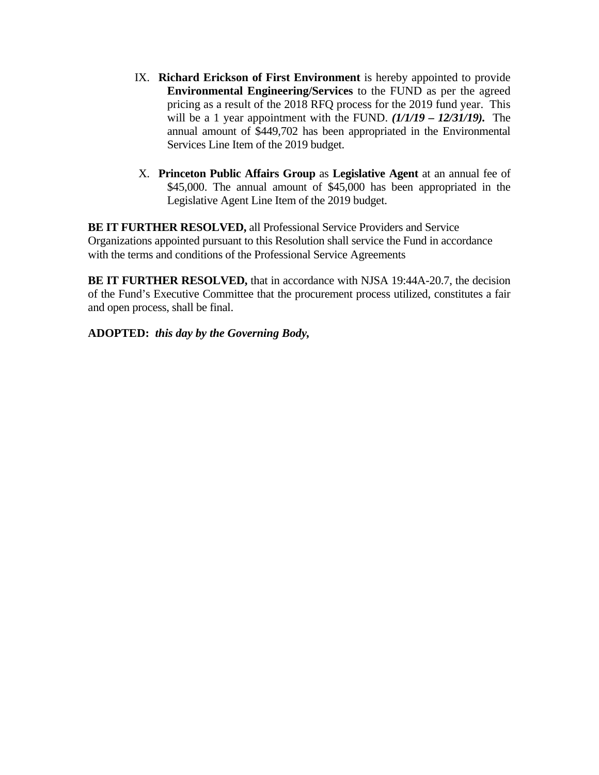- IX. **Richard Erickson of First Environment** is hereby appointed to provide **Environmental Engineering/Services** to the FUND as per the agreed pricing as a result of the 2018 RFQ process for the 2019 fund year. This will be a 1 year appointment with the FUND. *(1/1/19 – 12/31/19).* The annual amount of \$449,702 has been appropriated in the Environmental Services Line Item of the 2019 budget.
- X. **Princeton Public Affairs Group** as **Legislative Agent** at an annual fee of \$45,000. The annual amount of \$45,000 has been appropriated in the Legislative Agent Line Item of the 2019 budget.

**BE IT FURTHER RESOLVED,** all Professional Service Providers and Service Organizations appointed pursuant to this Resolution shall service the Fund in accordance with the terms and conditions of the Professional Service Agreements

**BE IT FURTHER RESOLVED,** that in accordance with NJSA 19:44A-20.7, the decision of the Fund's Executive Committee that the procurement process utilized, constitutes a fair and open process, shall be final.

**ADOPTED:** *this day by the Governing Body,*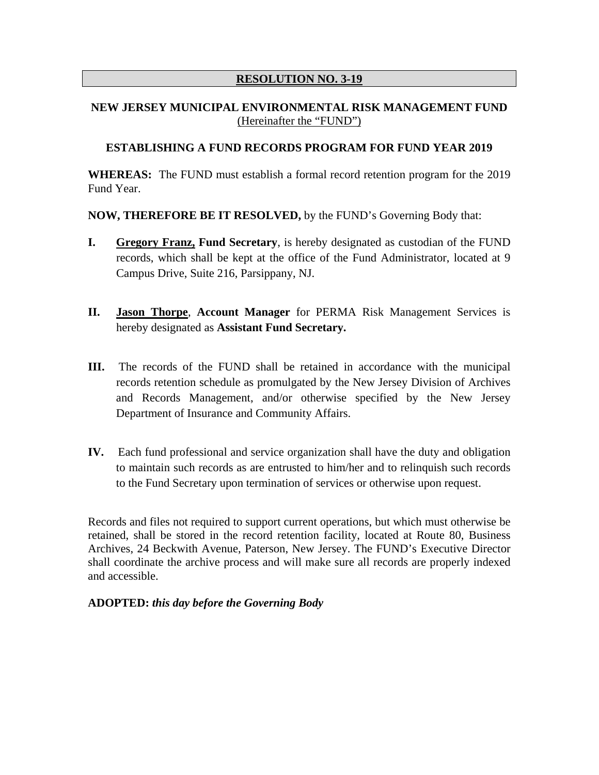# **RESOLUTION NO. 3-19**

# **NEW JERSEY MUNICIPAL ENVIRONMENTAL RISK MANAGEMENT FUND** (Hereinafter the "FUND")

### **ESTABLISHING A FUND RECORDS PROGRAM FOR FUND YEAR 2019**

**WHEREAS:** The FUND must establish a formal record retention program for the 2019 Fund Year.

**NOW, THEREFORE BE IT RESOLVED,** by the FUND's Governing Body that:

- **I. Gregory Franz, Fund Secretary**, is hereby designated as custodian of the FUND records, which shall be kept at the office of the Fund Administrator, located at 9 Campus Drive, Suite 216, Parsippany, NJ.
- **II. Jason Thorpe**, **Account Manager** for PERMA Risk Management Services is hereby designated as **Assistant Fund Secretary.**
- **III.** The records of the FUND shall be retained in accordance with the municipal records retention schedule as promulgated by the New Jersey Division of Archives and Records Management, and/or otherwise specified by the New Jersey Department of Insurance and Community Affairs.
- **IV.** Each fund professional and service organization shall have the duty and obligation to maintain such records as are entrusted to him/her and to relinquish such records to the Fund Secretary upon termination of services or otherwise upon request.

Records and files not required to support current operations, but which must otherwise be retained, shall be stored in the record retention facility, located at Route 80, Business Archives, 24 Beckwith Avenue, Paterson, New Jersey. The FUND's Executive Director shall coordinate the archive process and will make sure all records are properly indexed and accessible.

#### **ADOPTED:** *this day before the Governing Body*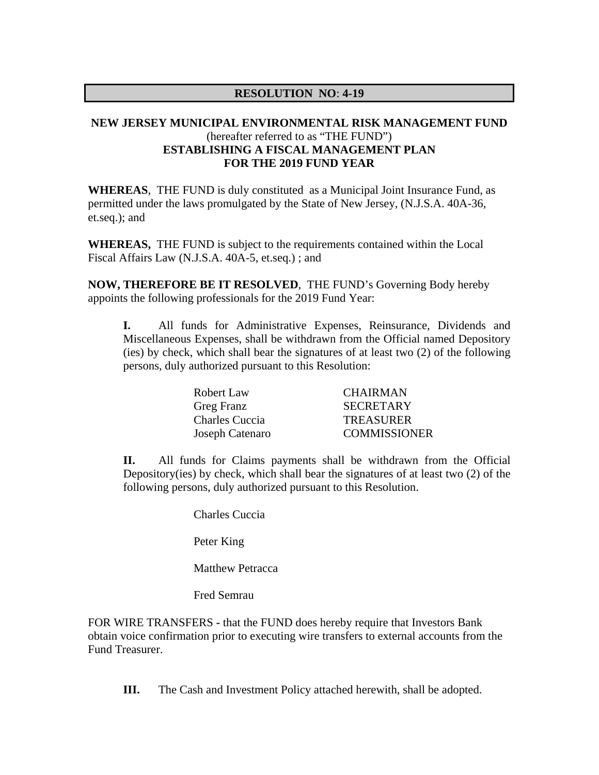### **RESOLUTION NO**: **4-19**

# **NEW JERSEY MUNICIPAL ENVIRONMENTAL RISK MANAGEMENT FUND** (hereafter referred to as "THE FUND") **ESTABLISHING A FISCAL MANAGEMENT PLAN FOR THE 2019 FUND YEAR**

**WHEREAS**, THE FUND is duly constituted as a Municipal Joint Insurance Fund, as permitted under the laws promulgated by the State of New Jersey, (N.J.S.A. 40A-36, et.seq.); and

**WHEREAS,** THE FUND is subject to the requirements contained within the Local Fiscal Affairs Law (N.J.S.A. 40A-5, et.seq.) ; and

**NOW, THEREFORE BE IT RESOLVED**, THE FUND's Governing Body hereby appoints the following professionals for the 2019 Fund Year:

**I.** All funds for Administrative Expenses, Reinsurance, Dividends and Miscellaneous Expenses, shall be withdrawn from the Official named Depository (ies) by check, which shall bear the signatures of at least two (2) of the following persons, duly authorized pursuant to this Resolution:

| Robert Law        | <b>CHAIRMAN</b>     |
|-------------------|---------------------|
| <b>Greg Franz</b> | <b>SECRETARY</b>    |
| Charles Cuccia    | <b>TREASURER</b>    |
| Joseph Catenaro   | <b>COMMISSIONER</b> |

**II.** All funds for Claims payments shall be withdrawn from the Official Depository(ies) by check, which shall bear the signatures of at least two (2) of the following persons, duly authorized pursuant to this Resolution.

Charles Cuccia

Peter King

Matthew Petracca

Fred Semrau

FOR WIRE TRANSFERS **-** that the FUND does hereby require that Investors Bank obtain voice confirmation prior to executing wire transfers to external accounts from the Fund Treasurer.

**III.** The Cash and Investment Policy attached herewith, shall be adopted.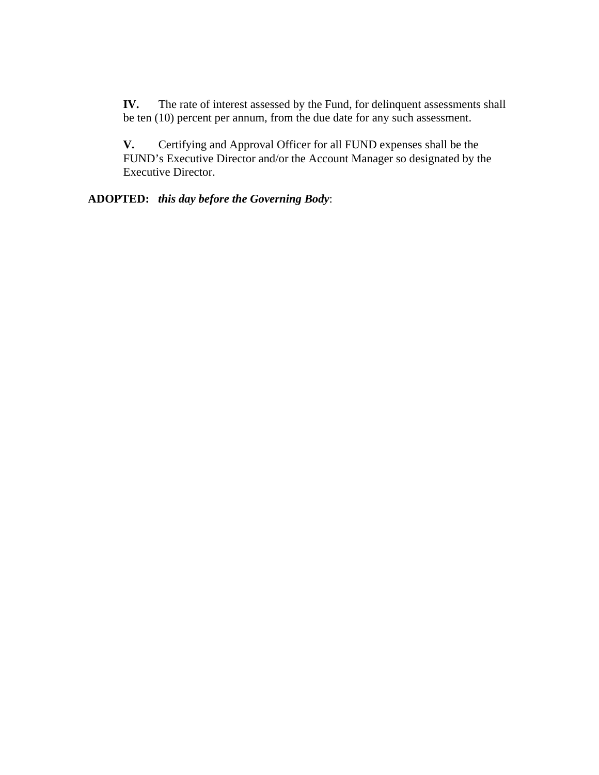**IV.** The rate of interest assessed by the Fund, for delinquent assessments shall be ten (10) percent per annum, from the due date for any such assessment.

**V.** Certifying and Approval Officer for all FUND expenses shall be the FUND's Executive Director and/or the Account Manager so designated by the Executive Director.

**ADOPTED:** *this day before the Governing Body*: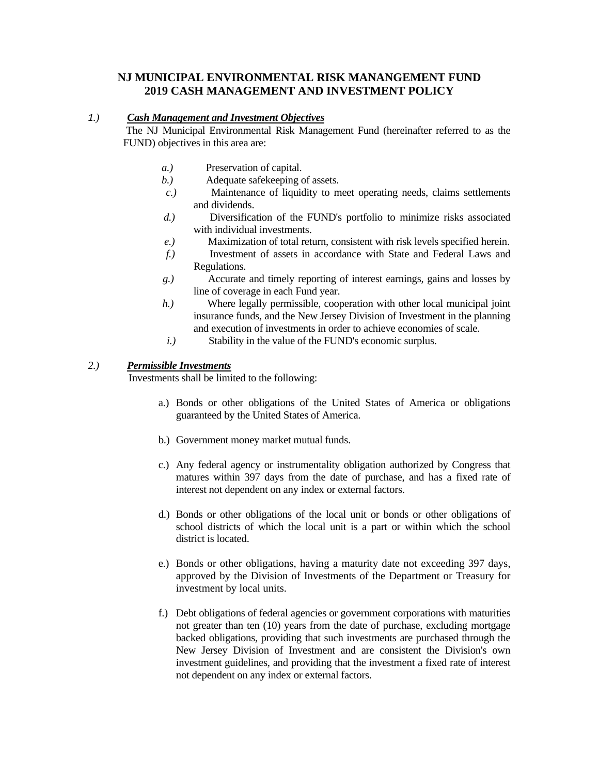### **NJ MUNICIPAL ENVIRONMENTAL RISK MANANGEMENT FUND 2019 CASH MANAGEMENT AND INVESTMENT POLICY**

#### *1.) Cash Management and Investment Objectives*

 The NJ Municipal Environmental Risk Management Fund (hereinafter referred to as the FUND) objectives in this area are:

- *a.*) Preservation of capital.
- *b.*) Adequate safekeeping of assets.
- *c.*) Maintenance of liquidity to meet operating needs, claims settlements and dividends.
- *d.*) Diversification of the FUND's portfolio to minimize risks associated with individual investments.
- *e.)* Maximization of total return, consistent with risk levels specified herein.
- *f.)* Investment of assets in accordance with State and Federal Laws and Regulations.
- *g.)* Accurate and timely reporting of interest earnings, gains and losses by line of coverage in each Fund year.
- *h.*) Where legally permissible, cooperation with other local municipal joint insurance funds, and the New Jersey Division of Investment in the planning and execution of investments in order to achieve economies of scale.
- *i.*) Stability in the value of the FUND's economic surplus.

#### *2.) Permissible Investments*

Investments shall be limited to the following:

- a.) Bonds or other obligations of the United States of America or obligations guaranteed by the United States of America.
- b.) Government money market mutual funds.
- c.) Any federal agency or instrumentality obligation authorized by Congress that matures within 397 days from the date of purchase, and has a fixed rate of interest not dependent on any index or external factors.
- d.) Bonds or other obligations of the local unit or bonds or other obligations of school districts of which the local unit is a part or within which the school district is located.
- e.) Bonds or other obligations, having a maturity date not exceeding 397 days, approved by the Division of Investments of the Department or Treasury for investment by local units.
- f.) Debt obligations of federal agencies or government corporations with maturities not greater than ten (10) years from the date of purchase, excluding mortgage backed obligations, providing that such investments are purchased through the New Jersey Division of Investment and are consistent the Division's own investment guidelines, and providing that the investment a fixed rate of interest not dependent on any index or external factors.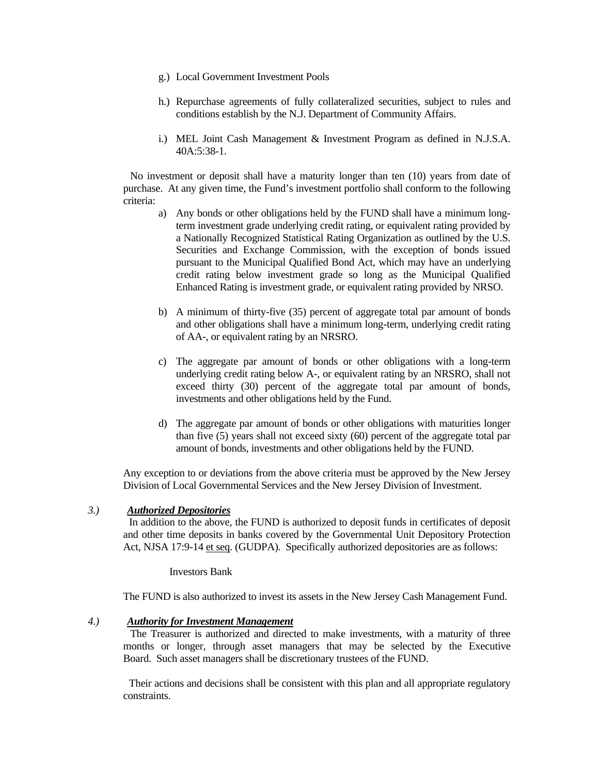- g.) Local Government Investment Pools
- h.) Repurchase agreements of fully collateralized securities, subject to rules and conditions establish by the N.J. Department of Community Affairs.
- i.) MEL Joint Cash Management & Investment Program as defined in N.J.S.A. 40A:5:38-1.

 No investment or deposit shall have a maturity longer than ten (10) years from date of purchase. At any given time, the Fund's investment portfolio shall conform to the following criteria:

- a) Any bonds or other obligations held by the FUND shall have a minimum longterm investment grade underlying credit rating, or equivalent rating provided by a Nationally Recognized Statistical Rating Organization as outlined by the U.S. Securities and Exchange Commission, with the exception of bonds issued pursuant to the Municipal Qualified Bond Act, which may have an underlying credit rating below investment grade so long as the Municipal Qualified Enhanced Rating is investment grade, or equivalent rating provided by NRSO.
- b) A minimum of thirty-five (35) percent of aggregate total par amount of bonds and other obligations shall have a minimum long-term, underlying credit rating of AA-, or equivalent rating by an NRSRO.
- c) The aggregate par amount of bonds or other obligations with a long-term underlying credit rating below A-, or equivalent rating by an NRSRO, shall not exceed thirty (30) percent of the aggregate total par amount of bonds, investments and other obligations held by the Fund.
- d) The aggregate par amount of bonds or other obligations with maturities longer than five (5) years shall not exceed sixty (60) percent of the aggregate total par amount of bonds, investments and other obligations held by the FUND.

Any exception to or deviations from the above criteria must be approved by the New Jersey Division of Local Governmental Services and the New Jersey Division of Investment.

#### *3.) Authorized Depositories*

 In addition to the above, the FUND is authorized to deposit funds in certificates of deposit and other time deposits in banks covered by the Governmental Unit Depository Protection Act, NJSA 17:9-14 et seq. (GUDPA). Specifically authorized depositories are as follows:

#### Investors Bank

The FUND is also authorized to invest its assets in the New Jersey Cash Management Fund.

#### *4.) Authority for Investment Management*

 The Treasurer is authorized and directed to make investments, with a maturity of three months or longer, through asset managers that may be selected by the Executive Board. Such asset managers shall be discretionary trustees of the FUND.

 Their actions and decisions shall be consistent with this plan and all appropriate regulatory constraints.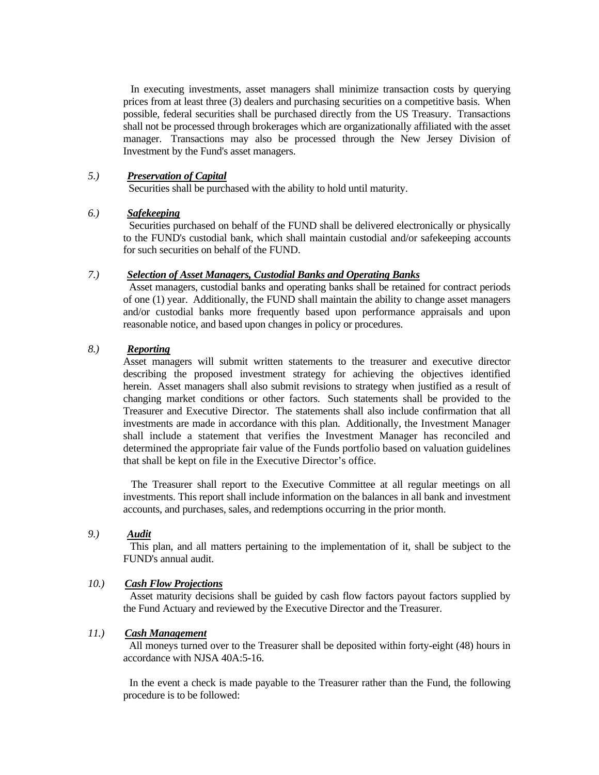In executing investments, asset managers shall minimize transaction costs by querying prices from at least three (3) dealers and purchasing securities on a competitive basis. When possible, federal securities shall be purchased directly from the US Treasury. Transactions shall not be processed through brokerages which are organizationally affiliated with the asset manager. Transactions may also be processed through the New Jersey Division of Investment by the Fund's asset managers.

#### *5.) Preservation of Capital*

Securities shall be purchased with the ability to hold until maturity.

#### *6.) Safekeeping*

 Securities purchased on behalf of the FUND shall be delivered electronically or physically to the FUND's custodial bank, which shall maintain custodial and/or safekeeping accounts for such securities on behalf of the FUND.

#### *7.) Selection of Asset Managers, Custodial Banks and Operating Banks*

 Asset managers, custodial banks and operating banks shall be retained for contract periods of one (1) year. Additionally, the FUND shall maintain the ability to change asset managers and/or custodial banks more frequently based upon performance appraisals and upon reasonable notice, and based upon changes in policy or procedures.

### *8.) Reporting*

Asset managers will submit written statements to the treasurer and executive director describing the proposed investment strategy for achieving the objectives identified herein. Asset managers shall also submit revisions to strategy when justified as a result of changing market conditions or other factors. Such statements shall be provided to the Treasurer and Executive Director. The statements shall also include confirmation that all investments are made in accordance with this plan. Additionally, the Investment Manager shall include a statement that verifies the Investment Manager has reconciled and determined the appropriate fair value of the Funds portfolio based on valuation guidelines that shall be kept on file in the Executive Director's office.

 The Treasurer shall report to the Executive Committee at all regular meetings on all investments. This report shall include information on the balances in all bank and investment accounts, and purchases, sales, and redemptions occurring in the prior month.

# *9.) Audit*

 This plan, and all matters pertaining to the implementation of it, shall be subject to the FUND's annual audit.

### *10.) Cash Flow Projections*

 Asset maturity decisions shall be guided by cash flow factors payout factors supplied by the Fund Actuary and reviewed by the Executive Director and the Treasurer.

#### *11.) Cash Management*

 All moneys turned over to the Treasurer shall be deposited within forty-eight (48) hours in accordance with NJSA 40A:5-16.

 In the event a check is made payable to the Treasurer rather than the Fund, the following procedure is to be followed: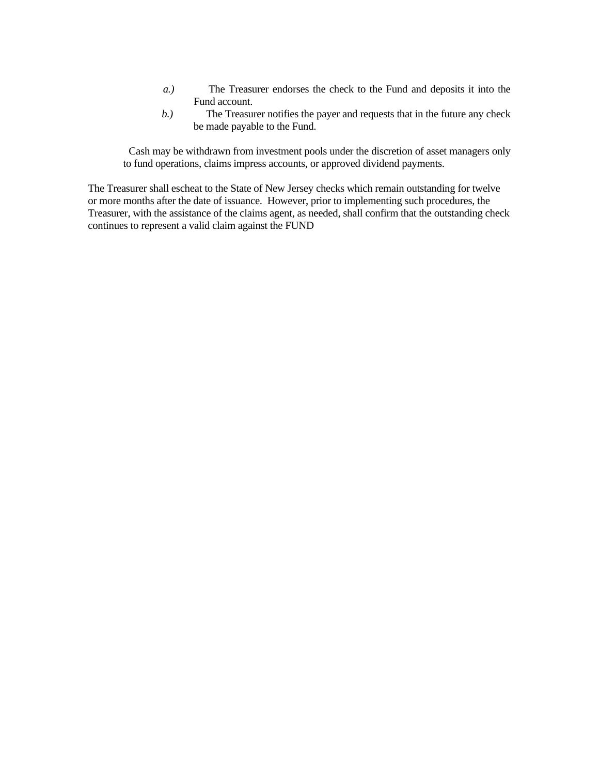- *a.*) The Treasurer endorses the check to the Fund and deposits it into the Fund account.
- *b.*) The Treasurer notifies the payer and requests that in the future any check be made payable to the Fund.

 Cash may be withdrawn from investment pools under the discretion of asset managers only to fund operations, claims impress accounts, or approved dividend payments.

The Treasurer shall escheat to the State of New Jersey checks which remain outstanding for twelve or more months after the date of issuance. However, prior to implementing such procedures, the Treasurer, with the assistance of the claims agent, as needed, shall confirm that the outstanding check continues to represent a valid claim against the FUND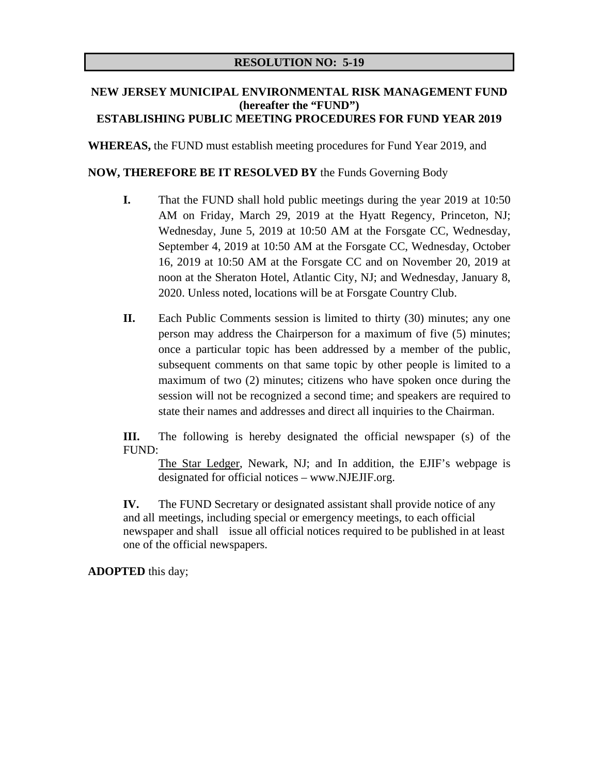# **NEW JERSEY MUNICIPAL ENVIRONMENTAL RISK MANAGEMENT FUND (hereafter the "FUND") ESTABLISHING PUBLIC MEETING PROCEDURES FOR FUND YEAR 2019**

**WHEREAS,** the FUND must establish meeting procedures for Fund Year 2019, and

# **NOW, THEREFORE BE IT RESOLVED BY** the Funds Governing Body

- **I.** That the FUND shall hold public meetings during the year 2019 at 10:50 AM on Friday, March 29, 2019 at the Hyatt Regency, Princeton, NJ; Wednesday, June 5, 2019 at 10:50 AM at the Forsgate CC, Wednesday, September 4, 2019 at 10:50 AM at the Forsgate CC, Wednesday, October 16, 2019 at 10:50 AM at the Forsgate CC and on November 20, 2019 at noon at the Sheraton Hotel, Atlantic City, NJ; and Wednesday, January 8, 2020. Unless noted, locations will be at Forsgate Country Club.
- **II.** Each Public Comments session is limited to thirty (30) minutes; any one person may address the Chairperson for a maximum of five (5) minutes; once a particular topic has been addressed by a member of the public, subsequent comments on that same topic by other people is limited to a maximum of two (2) minutes; citizens who have spoken once during the session will not be recognized a second time; and speakers are required to state their names and addresses and direct all inquiries to the Chairman.

**III.** The following is hereby designated the official newspaper (s) of the FUND:

The Star Ledger, Newark, NJ; and In addition, the EJIF's webpage is designated for official notices – www.NJEJIF.org.

**IV.** The FUND Secretary or designated assistant shall provide notice of any and all meetings, including special or emergency meetings, to each official newspaper and shall issue all official notices required to be published in at least one of the official newspapers.

**ADOPTED** this day;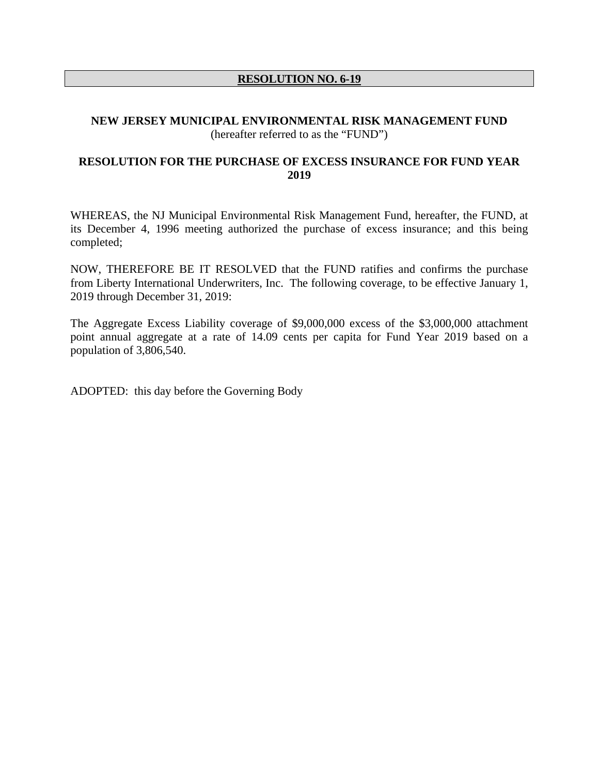# **RESOLUTION NO. 6-19**

### **NEW JERSEY MUNICIPAL ENVIRONMENTAL RISK MANAGEMENT FUND**  (hereafter referred to as the "FUND")

# **RESOLUTION FOR THE PURCHASE OF EXCESS INSURANCE FOR FUND YEAR 2019**

WHEREAS, the NJ Municipal Environmental Risk Management Fund, hereafter, the FUND, at its December 4, 1996 meeting authorized the purchase of excess insurance; and this being completed;

NOW, THEREFORE BE IT RESOLVED that the FUND ratifies and confirms the purchase from Liberty International Underwriters, Inc. The following coverage, to be effective January 1, 2019 through December 31, 2019:

The Aggregate Excess Liability coverage of \$9,000,000 excess of the \$3,000,000 attachment point annual aggregate at a rate of 14.09 cents per capita for Fund Year 2019 based on a population of 3,806,540.

ADOPTED: this day before the Governing Body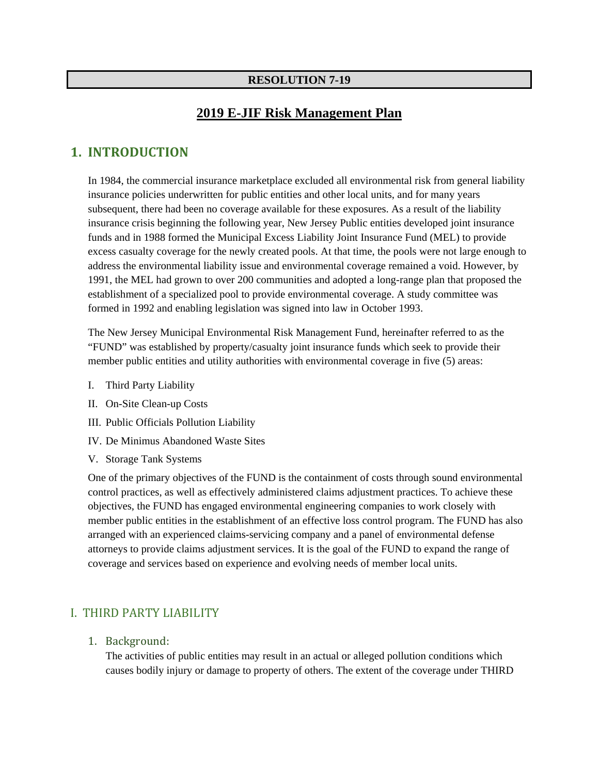### **RESOLUTION 7-19**

# **2019 E-JIF Risk Management Plan**

# **1. INTRODUCTION**

In 1984, the commercial insurance marketplace excluded all environmental risk from general liability insurance policies underwritten for public entities and other local units, and for many years subsequent, there had been no coverage available for these exposures. As a result of the liability insurance crisis beginning the following year, New Jersey Public entities developed joint insurance funds and in 1988 formed the Municipal Excess Liability Joint Insurance Fund (MEL) to provide excess casualty coverage for the newly created pools. At that time, the pools were not large enough to address the environmental liability issue and environmental coverage remained a void. However, by 1991, the MEL had grown to over 200 communities and adopted a long-range plan that proposed the establishment of a specialized pool to provide environmental coverage. A study committee was formed in 1992 and enabling legislation was signed into law in October 1993.

The New Jersey Municipal Environmental Risk Management Fund, hereinafter referred to as the "FUND" was established by property/casualty joint insurance funds which seek to provide their member public entities and utility authorities with environmental coverage in five (5) areas:

- I. Third Party Liability
- II. On-Site Clean-up Costs
- III. Public Officials Pollution Liability
- IV. De Minimus Abandoned Waste Sites
- V. Storage Tank Systems

One of the primary objectives of the FUND is the containment of costs through sound environmental control practices, as well as effectively administered claims adjustment practices. To achieve these objectives, the FUND has engaged environmental engineering companies to work closely with member public entities in the establishment of an effective loss control program. The FUND has also arranged with an experienced claims-servicing company and a panel of environmental defense attorneys to provide claims adjustment services. It is the goal of the FUND to expand the range of coverage and services based on experience and evolving needs of member local units.

# I. THIRD PARTY LIABILITY

1. Background:

The activities of public entities may result in an actual or alleged pollution conditions which causes bodily injury or damage to property of others. The extent of the coverage under THIRD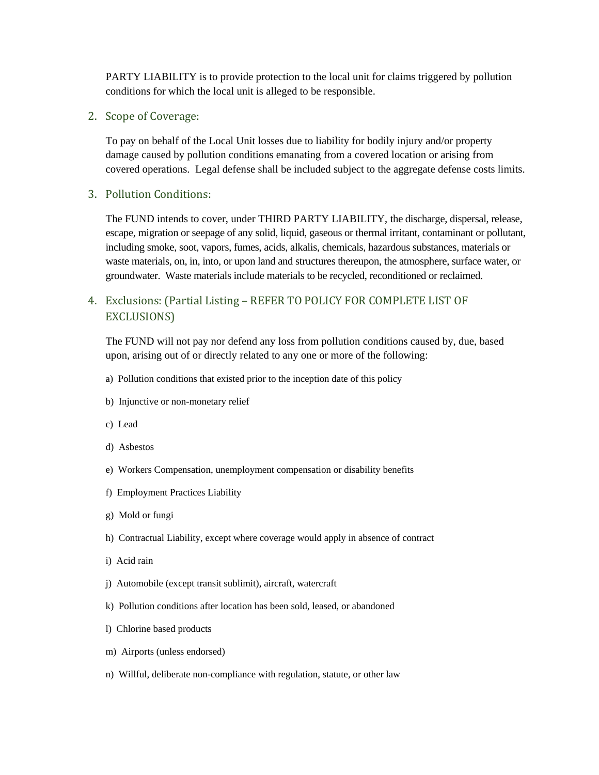PARTY LIABILITY is to provide protection to the local unit for claims triggered by pollution conditions for which the local unit is alleged to be responsible.

2. Scope of Coverage:

To pay on behalf of the Local Unit losses due to liability for bodily injury and/or property damage caused by pollution conditions emanating from a covered location or arising from covered operations. Legal defense shall be included subject to the aggregate defense costs limits.

#### 3. Pollution Conditions:

The FUND intends to cover, under THIRD PARTY LIABILITY, the discharge, dispersal, release, escape, migration or seepage of any solid, liquid, gaseous or thermal irritant, contaminant or pollutant, including smoke, soot, vapors, fumes, acids, alkalis, chemicals, hazardous substances, materials or waste materials, on, in, into, or upon land and structures thereupon, the atmosphere, surface water, or groundwater. Waste materials include materials to be recycled, reconditioned or reclaimed.

# 4. Exclusions: (Partial Listing - REFER TO POLICY FOR COMPLETE LIST OF EXCLUSIONS)

The FUND will not pay nor defend any loss from pollution conditions caused by, due, based upon, arising out of or directly related to any one or more of the following:

- a) Pollution conditions that existed prior to the inception date of this policy
- b) Injunctive or non-monetary relief
- c) Lead
- d) Asbestos
- e) Workers Compensation, unemployment compensation or disability benefits
- f) Employment Practices Liability
- g) Mold or fungi
- h) Contractual Liability, except where coverage would apply in absence of contract
- i) Acid rain
- j) Automobile (except transit sublimit), aircraft, watercraft
- k) Pollution conditions after location has been sold, leased, or abandoned
- l) Chlorine based products
- m) Airports (unless endorsed)
- n) Willful, deliberate non-compliance with regulation, statute, or other law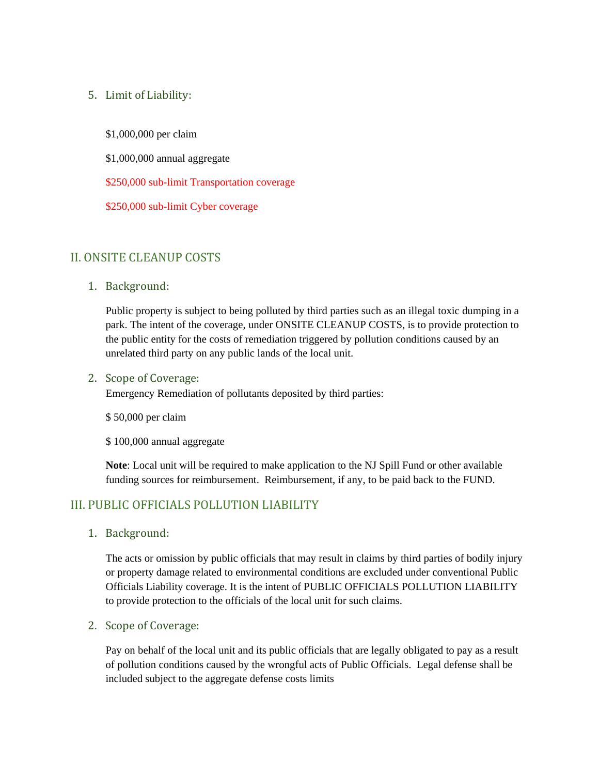# 5. Limit of Liability:

\$1,000,000 per claim

\$1,000,000 annual aggregate

\$250,000 sub-limit Transportation coverage

\$250,000 sub-limit Cyber coverage

# II. ONSITE CLEANUP COSTS

1. Background: 

Public property is subject to being polluted by third parties such as an illegal toxic dumping in a park. The intent of the coverage, under ONSITE CLEANUP COSTS, is to provide protection to the public entity for the costs of remediation triggered by pollution conditions caused by an unrelated third party on any public lands of the local unit.

#### 2. Scope of Coverage:

Emergency Remediation of pollutants deposited by third parties:

\$ 50,000 per claim

\$ 100,000 annual aggregate

**Note**: Local unit will be required to make application to the NJ Spill Fund or other available funding sources for reimbursement. Reimbursement, if any, to be paid back to the FUND.

# III. PUBLIC OFFICIALS POLLUTION LIABILITY

1. Background: 

The acts or omission by public officials that may result in claims by third parties of bodily injury or property damage related to environmental conditions are excluded under conventional Public Officials Liability coverage. It is the intent of PUBLIC OFFICIALS POLLUTION LIABILITY to provide protection to the officials of the local unit for such claims.

### 2. Scope of Coverage:

Pay on behalf of the local unit and its public officials that are legally obligated to pay as a result of pollution conditions caused by the wrongful acts of Public Officials. Legal defense shall be included subject to the aggregate defense costs limits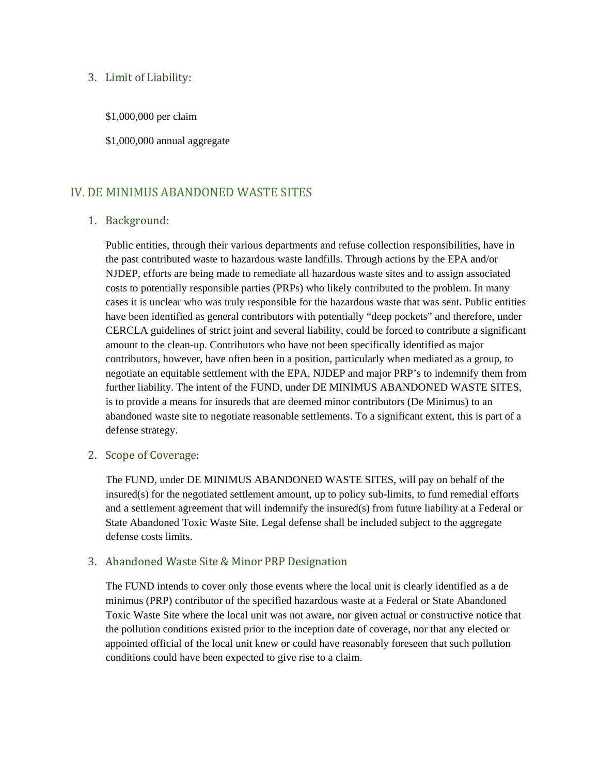#### 3. Limit of Liability:

- \$1,000,000 per claim
- \$1,000,000 annual aggregate

# IV. DE MINIMUS ABANDONED WASTE SITES

#### 1. Background:

Public entities, through their various departments and refuse collection responsibilities, have in the past contributed waste to hazardous waste landfills. Through actions by the EPA and/or NJDEP, efforts are being made to remediate all hazardous waste sites and to assign associated costs to potentially responsible parties (PRPs) who likely contributed to the problem. In many cases it is unclear who was truly responsible for the hazardous waste that was sent. Public entities have been identified as general contributors with potentially "deep pockets" and therefore, under CERCLA guidelines of strict joint and several liability, could be forced to contribute a significant amount to the clean-up. Contributors who have not been specifically identified as major contributors, however, have often been in a position, particularly when mediated as a group, to negotiate an equitable settlement with the EPA, NJDEP and major PRP's to indemnify them from further liability. The intent of the FUND, under DE MINIMUS ABANDONED WASTE SITES, is to provide a means for insureds that are deemed minor contributors (De Minimus) to an abandoned waste site to negotiate reasonable settlements. To a significant extent, this is part of a defense strategy.

### 2. Scope of Coverage:

The FUND, under DE MINIMUS ABANDONED WASTE SITES, will pay on behalf of the insured(s) for the negotiated settlement amount, up to policy sub-limits, to fund remedial efforts and a settlement agreement that will indemnify the insured(s) from future liability at a Federal or State Abandoned Toxic Waste Site. Legal defense shall be included subject to the aggregate defense costs limits.

### 3. Abandoned Waste Site & Minor PRP Designation

The FUND intends to cover only those events where the local unit is clearly identified as a de minimus (PRP) contributor of the specified hazardous waste at a Federal or State Abandoned Toxic Waste Site where the local unit was not aware, nor given actual or constructive notice that the pollution conditions existed prior to the inception date of coverage, nor that any elected or appointed official of the local unit knew or could have reasonably foreseen that such pollution conditions could have been expected to give rise to a claim.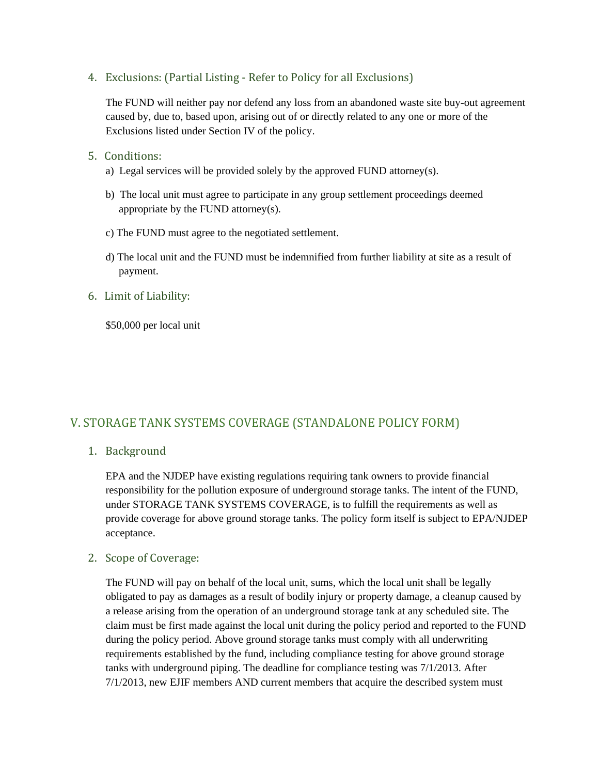4. Exclusions: (Partial Listing - Refer to Policy for all Exclusions)

The FUND will neither pay nor defend any loss from an abandoned waste site buy-out agreement caused by, due to, based upon, arising out of or directly related to any one or more of the Exclusions listed under Section IV of the policy.

- 5. Conditions:
	- a) Legal services will be provided solely by the approved FUND attorney(s).
	- b) The local unit must agree to participate in any group settlement proceedings deemed appropriate by the FUND attorney(s).
	- c) The FUND must agree to the negotiated settlement.
	- d) The local unit and the FUND must be indemnified from further liability at site as a result of payment.

# 6. Limit of Liability:

\$50,000 per local unit

# V. STORAGE TANK SYSTEMS COVERAGE (STANDALONE POLICY FORM)

# 1. Background

EPA and the NJDEP have existing regulations requiring tank owners to provide financial responsibility for the pollution exposure of underground storage tanks. The intent of the FUND, under STORAGE TANK SYSTEMS COVERAGE, is to fulfill the requirements as well as provide coverage for above ground storage tanks. The policy form itself is subject to EPA/NJDEP acceptance.

### 2. Scope of Coverage:

The FUND will pay on behalf of the local unit, sums, which the local unit shall be legally obligated to pay as damages as a result of bodily injury or property damage, a cleanup caused by a release arising from the operation of an underground storage tank at any scheduled site. The claim must be first made against the local unit during the policy period and reported to the FUND during the policy period. Above ground storage tanks must comply with all underwriting requirements established by the fund, including compliance testing for above ground storage tanks with underground piping. The deadline for compliance testing was 7/1/2013. After 7/1/2013, new EJIF members AND current members that acquire the described system must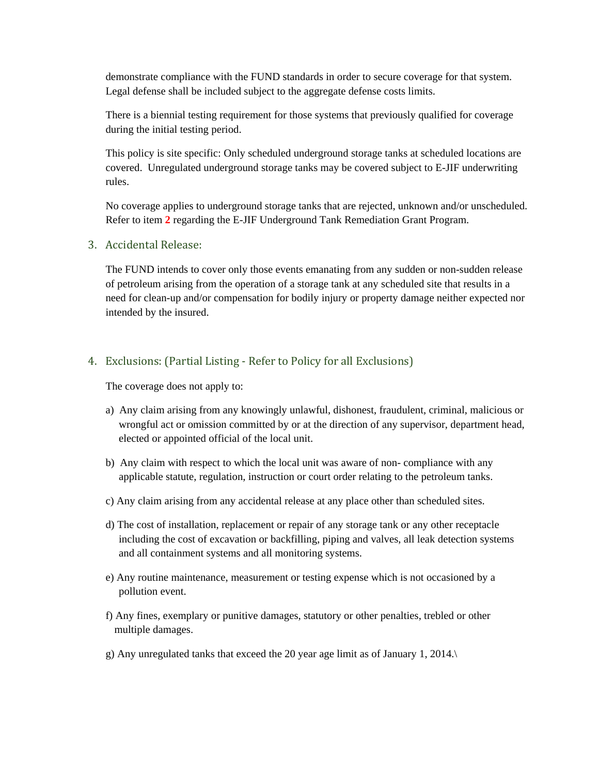demonstrate compliance with the FUND standards in order to secure coverage for that system. Legal defense shall be included subject to the aggregate defense costs limits.

There is a biennial testing requirement for those systems that previously qualified for coverage during the initial testing period.

This policy is site specific: Only scheduled underground storage tanks at scheduled locations are covered. Unregulated underground storage tanks may be covered subject to E-JIF underwriting rules.

No coverage applies to underground storage tanks that are rejected, unknown and/or unscheduled. Refer to item **2** regarding the E-JIF Underground Tank Remediation Grant Program.

3. Accidental Release:

The FUND intends to cover only those events emanating from any sudden or non-sudden release of petroleum arising from the operation of a storage tank at any scheduled site that results in a need for clean-up and/or compensation for bodily injury or property damage neither expected nor intended by the insured.

#### 4. Exclusions: (Partial Listing - Refer to Policy for all Exclusions)

The coverage does not apply to:

- a) Any claim arising from any knowingly unlawful, dishonest, fraudulent, criminal, malicious or wrongful act or omission committed by or at the direction of any supervisor, department head, elected or appointed official of the local unit.
- b) Any claim with respect to which the local unit was aware of non- compliance with any applicable statute, regulation, instruction or court order relating to the petroleum tanks.
- c) Any claim arising from any accidental release at any place other than scheduled sites.
- d) The cost of installation, replacement or repair of any storage tank or any other receptacle including the cost of excavation or backfilling, piping and valves, all leak detection systems and all containment systems and all monitoring systems.
- e) Any routine maintenance, measurement or testing expense which is not occasioned by a pollution event.
- f) Any fines, exemplary or punitive damages, statutory or other penalties, trebled or other multiple damages.
- g) Any unregulated tanks that exceed the 20 year age limit as of January 1, 2014.\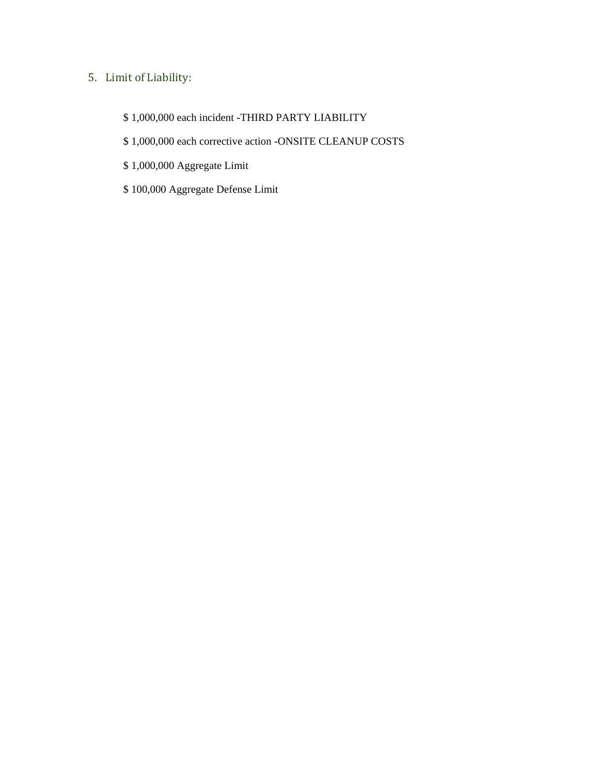# 5. Limit of Liability:

- \$ 1,000,000 each incident -THIRD PARTY LIABILITY
- \$ 1,000,000 each corrective action -ONSITE CLEANUP COSTS
- \$ 1,000,000 Aggregate Limit
- \$ 100,000 Aggregate Defense Limit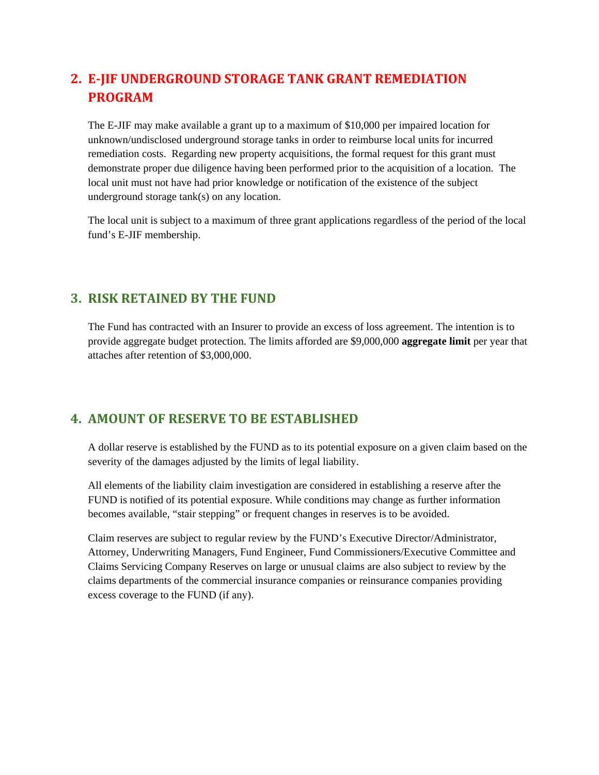# **2. E‐JIF UNDERGROUND STORAGE TANK GRANT REMEDIATION PROGRAM**

The E-JIF may make available a grant up to a maximum of \$10,000 per impaired location for unknown/undisclosed underground storage tanks in order to reimburse local units for incurred remediation costs. Regarding new property acquisitions, the formal request for this grant must demonstrate proper due diligence having been performed prior to the acquisition of a location. The local unit must not have had prior knowledge or notification of the existence of the subject underground storage tank(s) on any location.

The local unit is subject to a maximum of three grant applications regardless of the period of the local fund's E-JIF membership.

# **3. RISK RETAINED BY THE FUND**

The Fund has contracted with an Insurer to provide an excess of loss agreement. The intention is to provide aggregate budget protection. The limits afforded are \$9,000,000 **aggregate limit** per year that attaches after retention of \$3,000,000.

# **4. AMOUNT OF RESERVE TO BE ESTABLISHED**

A dollar reserve is established by the FUND as to its potential exposure on a given claim based on the severity of the damages adjusted by the limits of legal liability.

All elements of the liability claim investigation are considered in establishing a reserve after the FUND is notified of its potential exposure. While conditions may change as further information becomes available, "stair stepping" or frequent changes in reserves is to be avoided.

Claim reserves are subject to regular review by the FUND's Executive Director/Administrator, Attorney, Underwriting Managers, Fund Engineer, Fund Commissioners/Executive Committee and Claims Servicing Company Reserves on large or unusual claims are also subject to review by the claims departments of the commercial insurance companies or reinsurance companies providing excess coverage to the FUND (if any).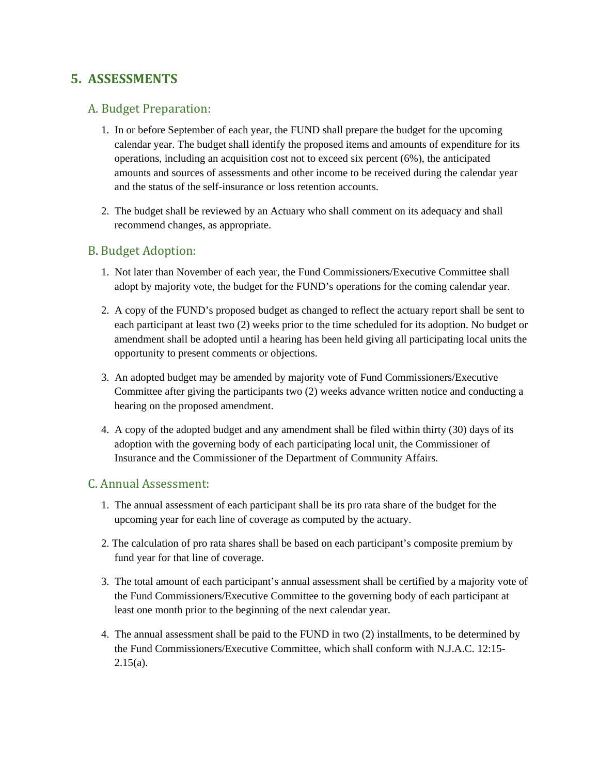# **5. ASSESSMENTS**

# A. Budget Preparation:

- 1. In or before September of each year, the FUND shall prepare the budget for the upcoming calendar year. The budget shall identify the proposed items and amounts of expenditure for its operations, including an acquisition cost not to exceed six percent (6%), the anticipated amounts and sources of assessments and other income to be received during the calendar year and the status of the self-insurance or loss retention accounts.
- 2. The budget shall be reviewed by an Actuary who shall comment on its adequacy and shall recommend changes, as appropriate.

# B. Budget Adoption:

- 1. Not later than November of each year, the Fund Commissioners/Executive Committee shall adopt by majority vote, the budget for the FUND's operations for the coming calendar year.
- 2. A copy of the FUND's proposed budget as changed to reflect the actuary report shall be sent to each participant at least two (2) weeks prior to the time scheduled for its adoption. No budget or amendment shall be adopted until a hearing has been held giving all participating local units the opportunity to present comments or objections.
- 3. An adopted budget may be amended by majority vote of Fund Commissioners/Executive Committee after giving the participants two (2) weeks advance written notice and conducting a hearing on the proposed amendment.
- 4. A copy of the adopted budget and any amendment shall be filed within thirty (30) days of its adoption with the governing body of each participating local unit, the Commissioner of Insurance and the Commissioner of the Department of Community Affairs.

### C. Annual Assessment:

- 1. The annual assessment of each participant shall be its pro rata share of the budget for the upcoming year for each line of coverage as computed by the actuary.
- 2. The calculation of pro rata shares shall be based on each participant's composite premium by fund year for that line of coverage.
- 3. The total amount of each participant's annual assessment shall be certified by a majority vote of the Fund Commissioners/Executive Committee to the governing body of each participant at least one month prior to the beginning of the next calendar year.
- 4. The annual assessment shall be paid to the FUND in two (2) installments, to be determined by the Fund Commissioners/Executive Committee, which shall conform with N.J.A.C. 12:15-  $2.15(a)$ .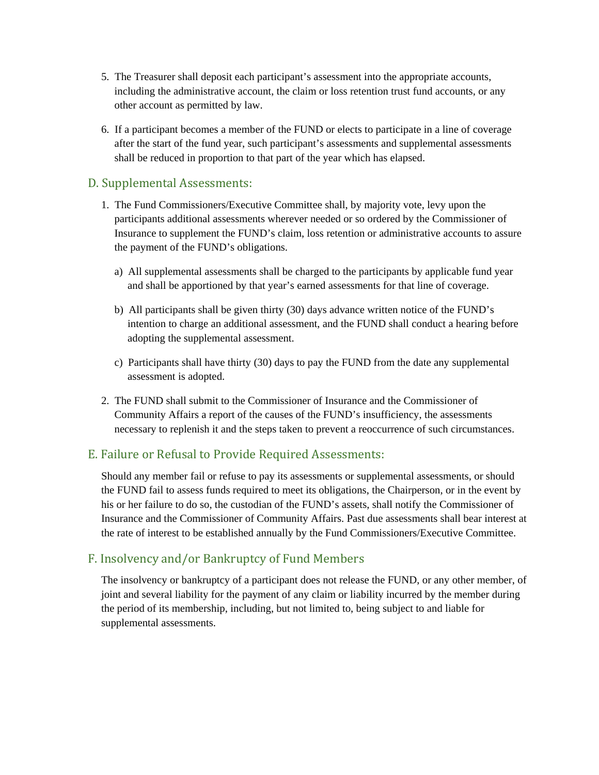- 5. The Treasurer shall deposit each participant's assessment into the appropriate accounts, including the administrative account, the claim or loss retention trust fund accounts, or any other account as permitted by law.
- 6. If a participant becomes a member of the FUND or elects to participate in a line of coverage after the start of the fund year, such participant's assessments and supplemental assessments shall be reduced in proportion to that part of the year which has elapsed.

# D. Supplemental Assessments:

- 1. The Fund Commissioners/Executive Committee shall, by majority vote, levy upon the participants additional assessments wherever needed or so ordered by the Commissioner of Insurance to supplement the FUND's claim, loss retention or administrative accounts to assure the payment of the FUND's obligations.
	- a) All supplemental assessments shall be charged to the participants by applicable fund year and shall be apportioned by that year's earned assessments for that line of coverage.
	- b) All participants shall be given thirty (30) days advance written notice of the FUND's intention to charge an additional assessment, and the FUND shall conduct a hearing before adopting the supplemental assessment.
	- c) Participants shall have thirty (30) days to pay the FUND from the date any supplemental assessment is adopted.
- 2. The FUND shall submit to the Commissioner of Insurance and the Commissioner of Community Affairs a report of the causes of the FUND's insufficiency, the assessments necessary to replenish it and the steps taken to prevent a reoccurrence of such circumstances.

# E. Failure or Refusal to Provide Required Assessments:

Should any member fail or refuse to pay its assessments or supplemental assessments, or should the FUND fail to assess funds required to meet its obligations, the Chairperson, or in the event by his or her failure to do so, the custodian of the FUND's assets, shall notify the Commissioner of Insurance and the Commissioner of Community Affairs. Past due assessments shall bear interest at the rate of interest to be established annually by the Fund Commissioners/Executive Committee.

# F. Insolvency and/or Bankruptcy of Fund Members

The insolvency or bankruptcy of a participant does not release the FUND, or any other member, of joint and several liability for the payment of any claim or liability incurred by the member during the period of its membership, including, but not limited to, being subject to and liable for supplemental assessments.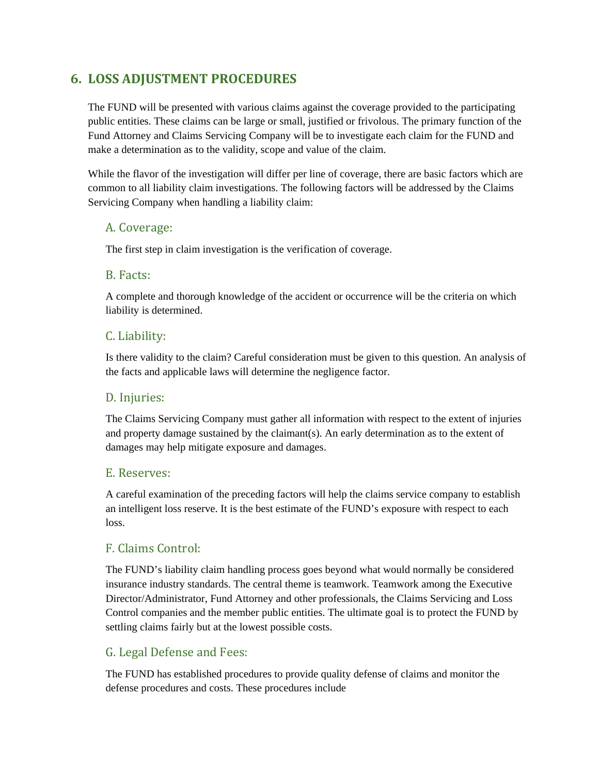# **6. LOSS ADJUSTMENT PROCEDURES**

The FUND will be presented with various claims against the coverage provided to the participating public entities. These claims can be large or small, justified or frivolous. The primary function of the Fund Attorney and Claims Servicing Company will be to investigate each claim for the FUND and make a determination as to the validity, scope and value of the claim.

While the flavor of the investigation will differ per line of coverage, there are basic factors which are common to all liability claim investigations. The following factors will be addressed by the Claims Servicing Company when handling a liability claim:

# A. Coverage:

The first step in claim investigation is the verification of coverage.

# B. Facts:

A complete and thorough knowledge of the accident or occurrence will be the criteria on which liability is determined.

# C. Liability:

Is there validity to the claim? Careful consideration must be given to this question. An analysis of the facts and applicable laws will determine the negligence factor.

# D. Injuries:

The Claims Servicing Company must gather all information with respect to the extent of injuries and property damage sustained by the claimant(s). An early determination as to the extent of damages may help mitigate exposure and damages.

# E. Reserves:

A careful examination of the preceding factors will help the claims service company to establish an intelligent loss reserve. It is the best estimate of the FUND's exposure with respect to each loss.

# F. Claims Control:

The FUND's liability claim handling process goes beyond what would normally be considered insurance industry standards. The central theme is teamwork. Teamwork among the Executive Director/Administrator, Fund Attorney and other professionals, the Claims Servicing and Loss Control companies and the member public entities. The ultimate goal is to protect the FUND by settling claims fairly but at the lowest possible costs.

# G. Legal Defense and Fees:

The FUND has established procedures to provide quality defense of claims and monitor the defense procedures and costs. These procedures include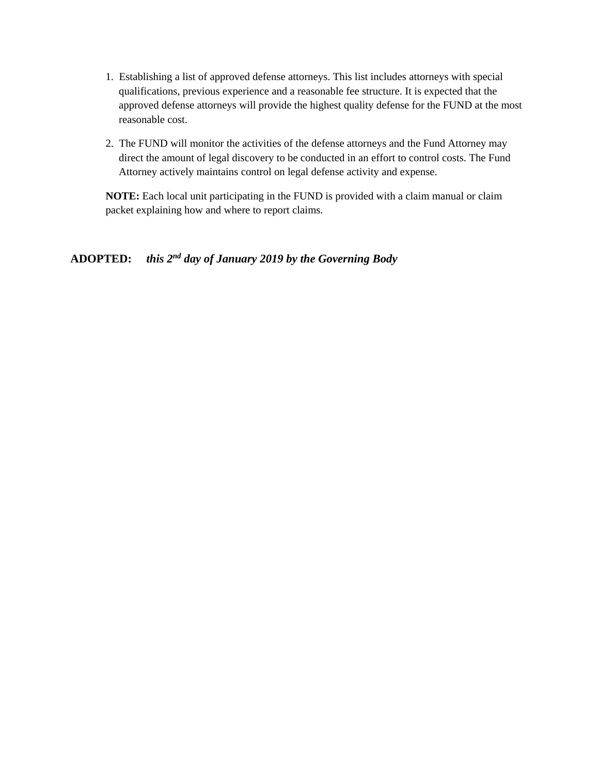- 1. Establishing a list of approved defense attorneys. This list includes attorneys with special qualifications, previous experience and a reasonable fee structure. It is expected that the approved defense attorneys will provide the highest quality defense for the FUND at the most reasonable cost.
- 2. The FUND will monitor the activities of the defense attorneys and the Fund Attorney may direct the amount of legal discovery to be conducted in an effort to control costs. The Fund Attorney actively maintains control on legal defense activity and expense.

**NOTE:** Each local unit participating in the FUND is provided with a claim manual or claim packet explaining how and where to report claims.

# **ADOPTED:** *this 2nd day of January 2019 by the Governing Body*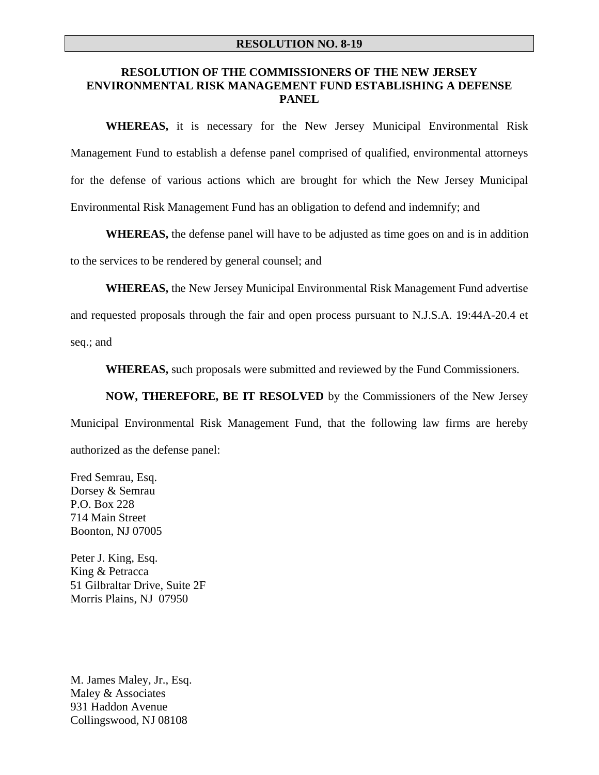#### **RESOLUTION NO. 8-19**

#### **RESOLUTION OF THE COMMISSIONERS OF THE NEW JERSEY ENVIRONMENTAL RISK MANAGEMENT FUND ESTABLISHING A DEFENSE PANEL**

**WHEREAS,** it is necessary for the New Jersey Municipal Environmental Risk Management Fund to establish a defense panel comprised of qualified, environmental attorneys for the defense of various actions which are brought for which the New Jersey Municipal Environmental Risk Management Fund has an obligation to defend and indemnify; and

**WHEREAS,** the defense panel will have to be adjusted as time goes on and is in addition

to the services to be rendered by general counsel; and

**WHEREAS,** the New Jersey Municipal Environmental Risk Management Fund advertise

and requested proposals through the fair and open process pursuant to N.J.S.A. 19:44A-20.4 et

seq.; and

**WHEREAS,** such proposals were submitted and reviewed by the Fund Commissioners.

**NOW, THEREFORE, BE IT RESOLVED** by the Commissioners of the New Jersey Municipal Environmental Risk Management Fund, that the following law firms are hereby authorized as the defense panel:

Fred Semrau, Esq. Dorsey & Semrau P.O. Box 228 714 Main Street Boonton, NJ 07005

Peter J. King, Esq. King & Petracca 51 Gilbraltar Drive, Suite 2F Morris Plains, NJ 07950

M. James Maley, Jr., Esq. Maley & Associates 931 Haddon Avenue Collingswood, NJ 08108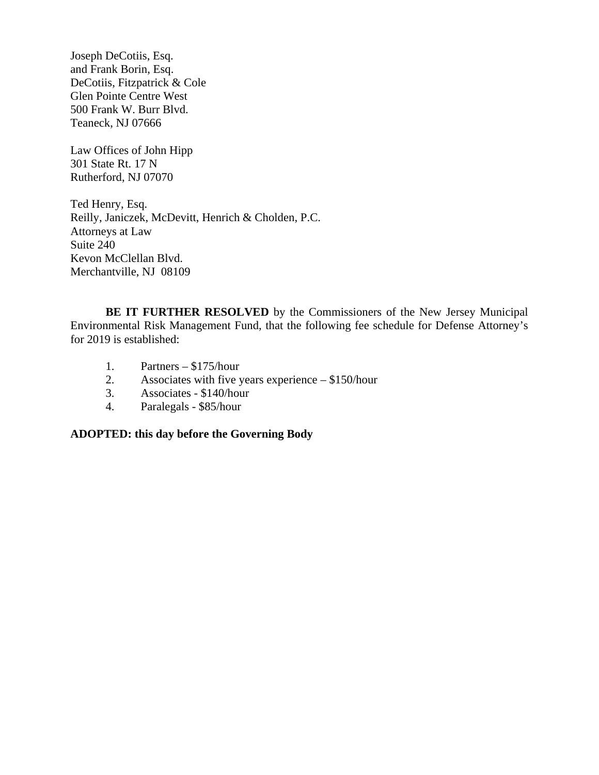Joseph DeCotiis, Esq. and Frank Borin, Esq. DeCotiis, Fitzpatrick & Cole Glen Pointe Centre West 500 Frank W. Burr Blvd. Teaneck, NJ 07666

Law Offices of John Hipp 301 State Rt. 17 N Rutherford, NJ 07070

Ted Henry, Esq. Reilly, Janiczek, McDevitt, Henrich & Cholden, P.C. Attorneys at Law Suite 240 Kevon McClellan Blvd. Merchantville, NJ 08109

**BE IT FURTHER RESOLVED** by the Commissioners of the New Jersey Municipal Environmental Risk Management Fund, that the following fee schedule for Defense Attorney's for 2019 is established:

- 1. Partners \$175/hour
- 2. Associates with five years experience \$150/hour
- 3. Associates \$140/hour
- 4. Paralegals \$85/hour

#### **ADOPTED: this day before the Governing Body**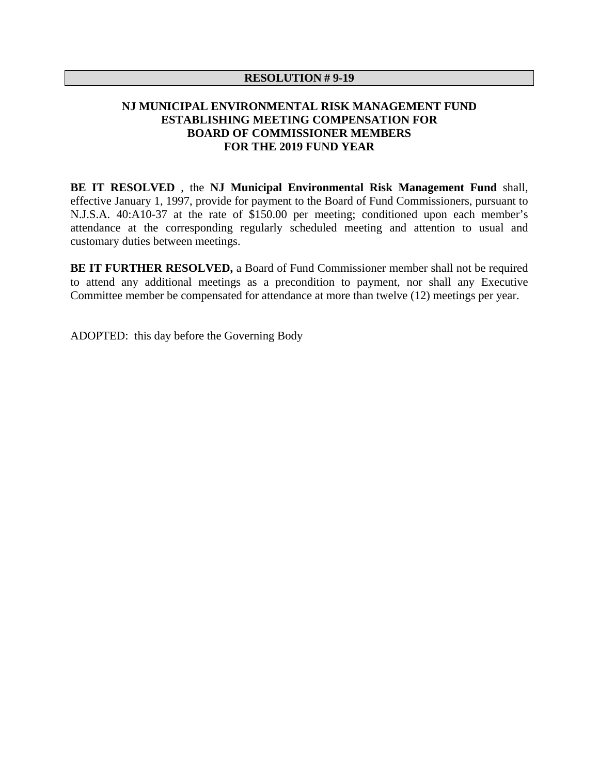#### **RESOLUTION # 9-19**

# **NJ MUNICIPAL ENVIRONMENTAL RISK MANAGEMENT FUND ESTABLISHING MEETING COMPENSATION FOR BOARD OF COMMISSIONER MEMBERS FOR THE 2019 FUND YEAR**

**BE IT RESOLVED** , the **NJ Municipal Environmental Risk Management Fund** shall, effective January 1, 1997, provide for payment to the Board of Fund Commissioners, pursuant to N.J.S.A. 40:A10-37 at the rate of \$150.00 per meeting; conditioned upon each member's attendance at the corresponding regularly scheduled meeting and attention to usual and customary duties between meetings.

**BE IT FURTHER RESOLVED,** a Board of Fund Commissioner member shall not be required to attend any additional meetings as a precondition to payment, nor shall any Executive Committee member be compensated for attendance at more than twelve (12) meetings per year.

ADOPTED: this day before the Governing Body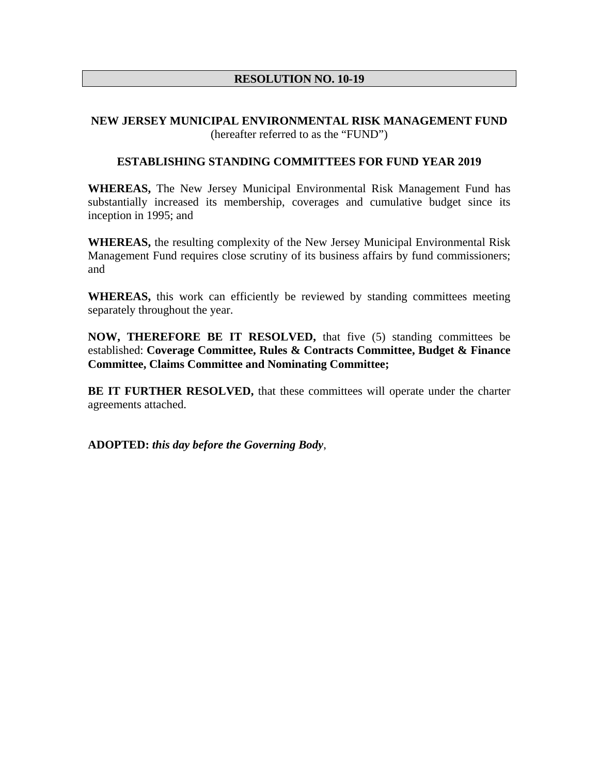# **RESOLUTION NO. 10-19**

### **NEW JERSEY MUNICIPAL ENVIRONMENTAL RISK MANAGEMENT FUND**  (hereafter referred to as the "FUND")

### **ESTABLISHING STANDING COMMITTEES FOR FUND YEAR 2019**

**WHEREAS,** The New Jersey Municipal Environmental Risk Management Fund has substantially increased its membership, coverages and cumulative budget since its inception in 1995; and

**WHEREAS,** the resulting complexity of the New Jersey Municipal Environmental Risk Management Fund requires close scrutiny of its business affairs by fund commissioners; and

**WHEREAS,** this work can efficiently be reviewed by standing committees meeting separately throughout the year.

**NOW, THEREFORE BE IT RESOLVED,** that five (5) standing committees be established: **Coverage Committee, Rules & Contracts Committee, Budget & Finance Committee, Claims Committee and Nominating Committee;** 

**BE IT FURTHER RESOLVED,** that these committees will operate under the charter agreements attached.

**ADOPTED:** *this day before the Governing Body*,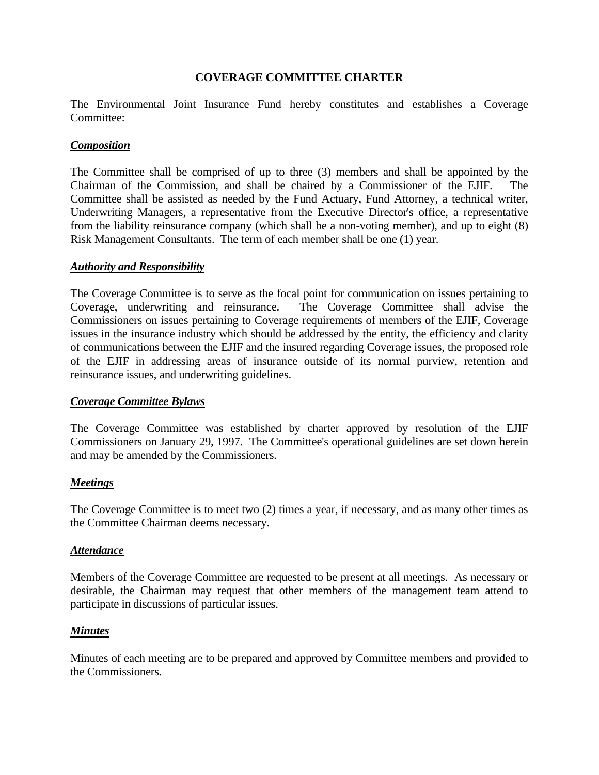# **COVERAGE COMMITTEE CHARTER**

The Environmental Joint Insurance Fund hereby constitutes and establishes a Coverage Committee:

### *Composition*

The Committee shall be comprised of up to three (3) members and shall be appointed by the Chairman of the Commission, and shall be chaired by a Commissioner of the EJIF. The Committee shall be assisted as needed by the Fund Actuary, Fund Attorney, a technical writer, Underwriting Managers, a representative from the Executive Director's office, a representative from the liability reinsurance company (which shall be a non-voting member), and up to eight (8) Risk Management Consultants. The term of each member shall be one (1) year.

#### *Authority and Responsibility*

The Coverage Committee is to serve as the focal point for communication on issues pertaining to Coverage, underwriting and reinsurance. The Coverage Committee shall advise the Commissioners on issues pertaining to Coverage requirements of members of the EJIF, Coverage issues in the insurance industry which should be addressed by the entity, the efficiency and clarity of communications between the EJIF and the insured regarding Coverage issues, the proposed role of the EJIF in addressing areas of insurance outside of its normal purview, retention and reinsurance issues, and underwriting guidelines.

### *Coverage Committee Bylaws*

The Coverage Committee was established by charter approved by resolution of the EJIF Commissioners on January 29, 1997. The Committee's operational guidelines are set down herein and may be amended by the Commissioners.

### *Meetings*

The Coverage Committee is to meet two (2) times a year, if necessary, and as many other times as the Committee Chairman deems necessary.

#### *Attendance*

Members of the Coverage Committee are requested to be present at all meetings. As necessary or desirable, the Chairman may request that other members of the management team attend to participate in discussions of particular issues.

### *Minutes*

Minutes of each meeting are to be prepared and approved by Committee members and provided to the Commissioners.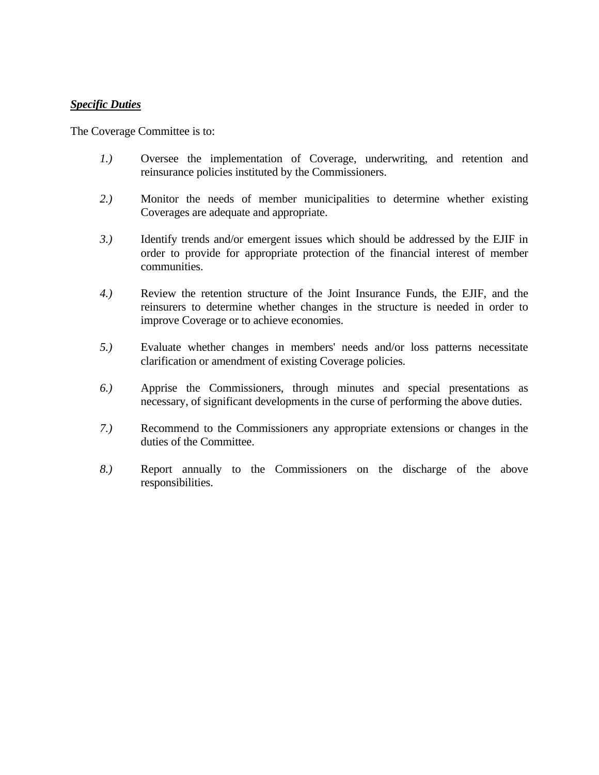#### *Specific Duties*

The Coverage Committee is to:

- *1.)* Oversee the implementation of Coverage, underwriting, and retention and reinsurance policies instituted by the Commissioners.
- *2.)* Monitor the needs of member municipalities to determine whether existing Coverages are adequate and appropriate.
- *3.)* Identify trends and/or emergent issues which should be addressed by the EJIF in order to provide for appropriate protection of the financial interest of member communities.
- *4.)* Review the retention structure of the Joint Insurance Funds, the EJIF, and the reinsurers to determine whether changes in the structure is needed in order to improve Coverage or to achieve economies.
- *5.)* Evaluate whether changes in members' needs and/or loss patterns necessitate clarification or amendment of existing Coverage policies.
- *6.)* Apprise the Commissioners, through minutes and special presentations as necessary, of significant developments in the curse of performing the above duties.
- *7.)* Recommend to the Commissioners any appropriate extensions or changes in the duties of the Committee.
- *8.)* Report annually to the Commissioners on the discharge of the above responsibilities.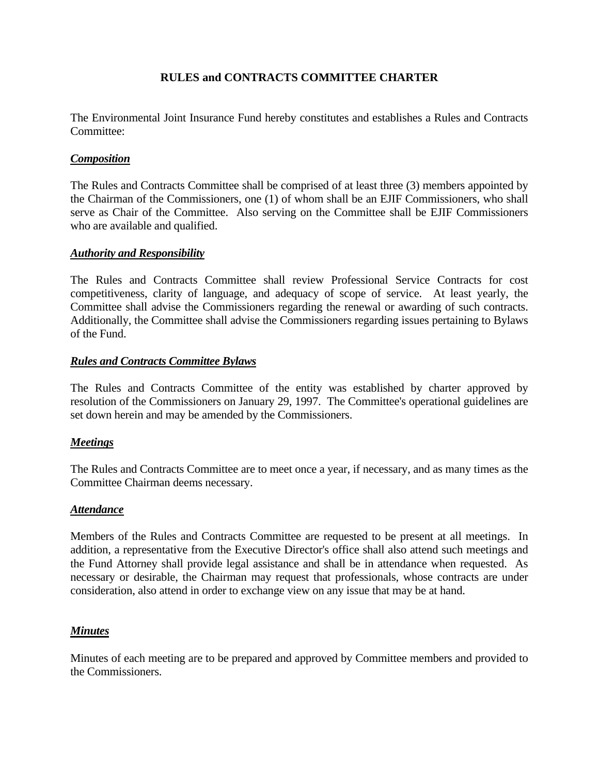# **RULES and CONTRACTS COMMITTEE CHARTER**

The Environmental Joint Insurance Fund hereby constitutes and establishes a Rules and Contracts Committee<sup>.</sup>

# *Composition*

The Rules and Contracts Committee shall be comprised of at least three (3) members appointed by the Chairman of the Commissioners, one (1) of whom shall be an EJIF Commissioners, who shall serve as Chair of the Committee. Also serving on the Committee shall be EJIF Commissioners who are available and qualified.

#### *Authority and Responsibility*

The Rules and Contracts Committee shall review Professional Service Contracts for cost competitiveness, clarity of language, and adequacy of scope of service. At least yearly, the Committee shall advise the Commissioners regarding the renewal or awarding of such contracts. Additionally, the Committee shall advise the Commissioners regarding issues pertaining to Bylaws of the Fund.

#### *Rules and Contracts Committee Bylaws*

The Rules and Contracts Committee of the entity was established by charter approved by resolution of the Commissioners on January 29, 1997. The Committee's operational guidelines are set down herein and may be amended by the Commissioners.

### *Meetings*

The Rules and Contracts Committee are to meet once a year, if necessary, and as many times as the Committee Chairman deems necessary.

### *Attendance*

Members of the Rules and Contracts Committee are requested to be present at all meetings. In addition, a representative from the Executive Director's office shall also attend such meetings and the Fund Attorney shall provide legal assistance and shall be in attendance when requested. As necessary or desirable, the Chairman may request that professionals, whose contracts are under consideration, also attend in order to exchange view on any issue that may be at hand.

### *Minutes*

Minutes of each meeting are to be prepared and approved by Committee members and provided to the Commissioners.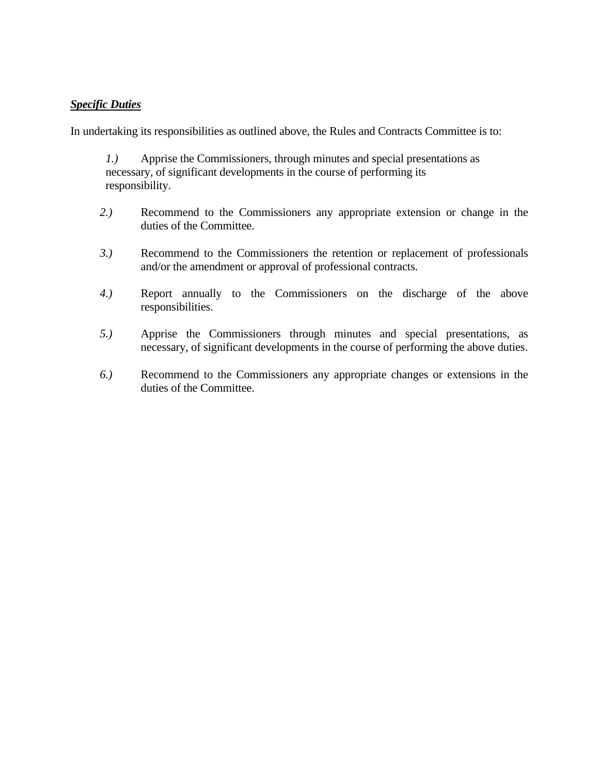# *Specific Duties*

In undertaking its responsibilities as outlined above, the Rules and Contracts Committee is to:

 *1.)* Apprise the Commissioners, through minutes and special presentations as necessary, of significant developments in the course of performing its responsibility.

- *2.)* Recommend to the Commissioners any appropriate extension or change in the duties of the Committee.
- *3.)* Recommend to the Commissioners the retention or replacement of professionals and/or the amendment or approval of professional contracts.
- *4.)* Report annually to the Commissioners on the discharge of the above responsibilities.
- *5.)* Apprise the Commissioners through minutes and special presentations, as necessary, of significant developments in the course of performing the above duties.
- *6.)* Recommend to the Commissioners any appropriate changes or extensions in the duties of the Committee.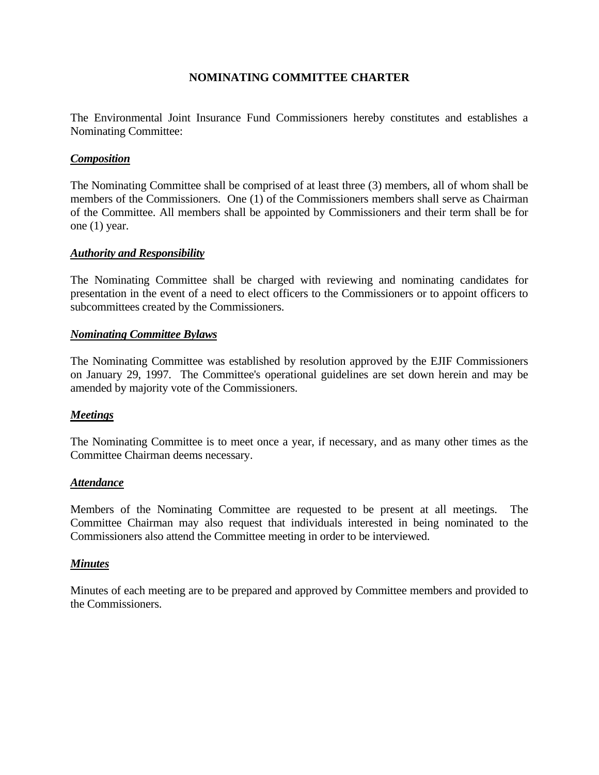# **NOMINATING COMMITTEE CHARTER**

The Environmental Joint Insurance Fund Commissioners hereby constitutes and establishes a Nominating Committee:

### *Composition*

The Nominating Committee shall be comprised of at least three (3) members, all of whom shall be members of the Commissioners. One (1) of the Commissioners members shall serve as Chairman of the Committee. All members shall be appointed by Commissioners and their term shall be for one (1) year.

#### *Authority and Responsibility*

The Nominating Committee shall be charged with reviewing and nominating candidates for presentation in the event of a need to elect officers to the Commissioners or to appoint officers to subcommittees created by the Commissioners.

#### *Nominating Committee Bylaws*

The Nominating Committee was established by resolution approved by the EJIF Commissioners on January 29, 1997. The Committee's operational guidelines are set down herein and may be amended by majority vote of the Commissioners.

### *Meetings*

The Nominating Committee is to meet once a year, if necessary, and as many other times as the Committee Chairman deems necessary.

#### *Attendance*

Members of the Nominating Committee are requested to be present at all meetings. The Committee Chairman may also request that individuals interested in being nominated to the Commissioners also attend the Committee meeting in order to be interviewed.

#### *Minutes*

Minutes of each meeting are to be prepared and approved by Committee members and provided to the Commissioners.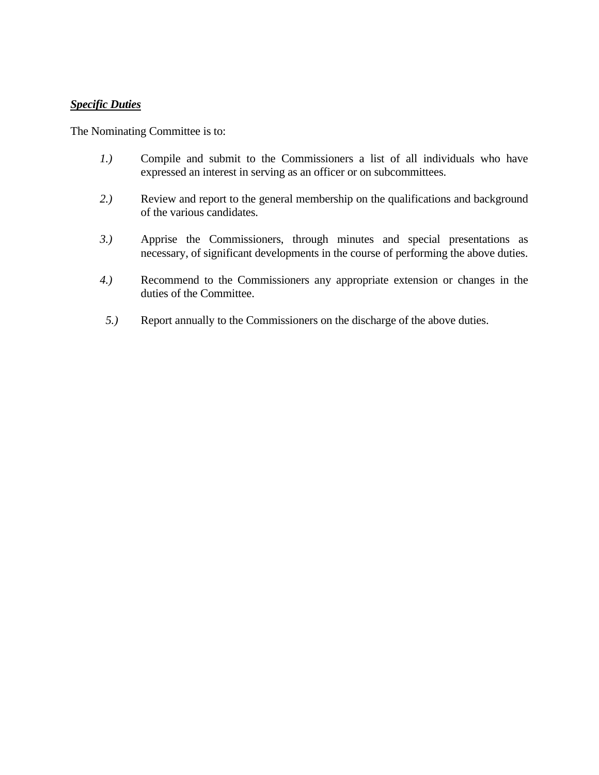### *Specific Duties*

The Nominating Committee is to:

- *1.)* Compile and submit to the Commissioners a list of all individuals who have expressed an interest in serving as an officer or on subcommittees.
- *2.)* Review and report to the general membership on the qualifications and background of the various candidates.
- *3.)* Apprise the Commissioners, through minutes and special presentations as necessary, of significant developments in the course of performing the above duties.
- *4.)* Recommend to the Commissioners any appropriate extension or changes in the duties of the Committee.
- *5.)* Report annually to the Commissioners on the discharge of the above duties.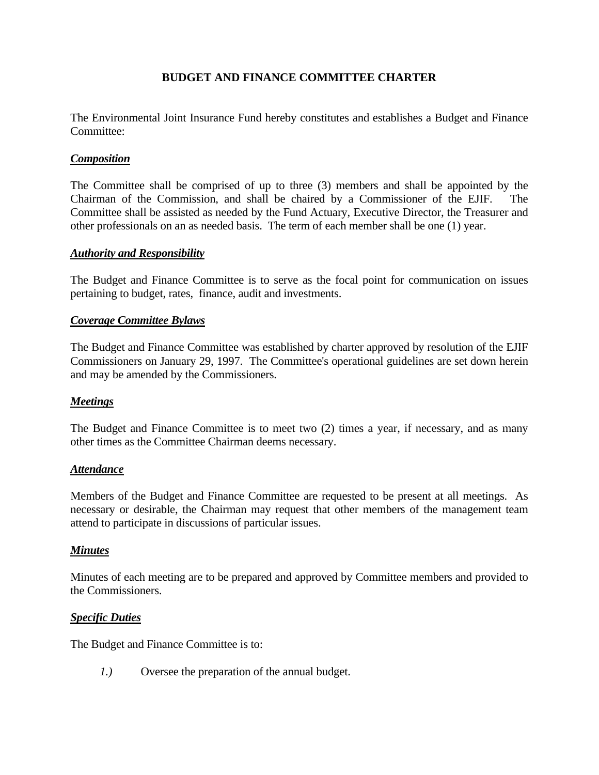# **BUDGET AND FINANCE COMMITTEE CHARTER**

The Environmental Joint Insurance Fund hereby constitutes and establishes a Budget and Finance Committee:

# *Composition*

The Committee shall be comprised of up to three (3) members and shall be appointed by the Chairman of the Commission, and shall be chaired by a Commissioner of the EJIF. The Committee shall be assisted as needed by the Fund Actuary, Executive Director, the Treasurer and other professionals on an as needed basis. The term of each member shall be one (1) year.

#### *Authority and Responsibility*

The Budget and Finance Committee is to serve as the focal point for communication on issues pertaining to budget, rates, finance, audit and investments.

#### *Coverage Committee Bylaws*

The Budget and Finance Committee was established by charter approved by resolution of the EJIF Commissioners on January 29, 1997. The Committee's operational guidelines are set down herein and may be amended by the Commissioners.

#### *Meetings*

The Budget and Finance Committee is to meet two (2) times a year, if necessary, and as many other times as the Committee Chairman deems necessary.

### *Attendance*

Members of the Budget and Finance Committee are requested to be present at all meetings. As necessary or desirable, the Chairman may request that other members of the management team attend to participate in discussions of particular issues.

### *Minutes*

Minutes of each meeting are to be prepared and approved by Committee members and provided to the Commissioners.

#### *Specific Duties*

The Budget and Finance Committee is to:

 *1.)* Oversee the preparation of the annual budget.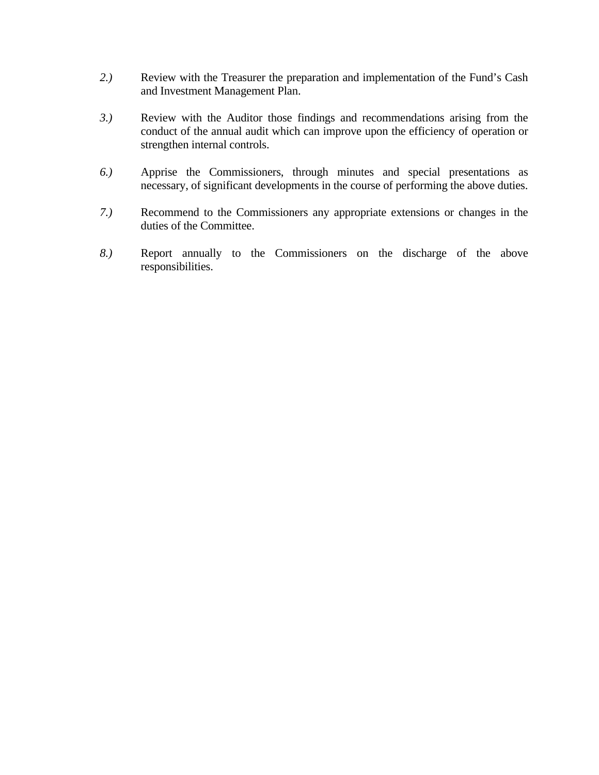- *2.)* Review with the Treasurer the preparation and implementation of the Fund's Cash and Investment Management Plan.
- *3.)* Review with the Auditor those findings and recommendations arising from the conduct of the annual audit which can improve upon the efficiency of operation or strengthen internal controls.
- *6.)* Apprise the Commissioners, through minutes and special presentations as necessary, of significant developments in the course of performing the above duties.
- *7.)* Recommend to the Commissioners any appropriate extensions or changes in the duties of the Committee.
- *8.)* Report annually to the Commissioners on the discharge of the above responsibilities.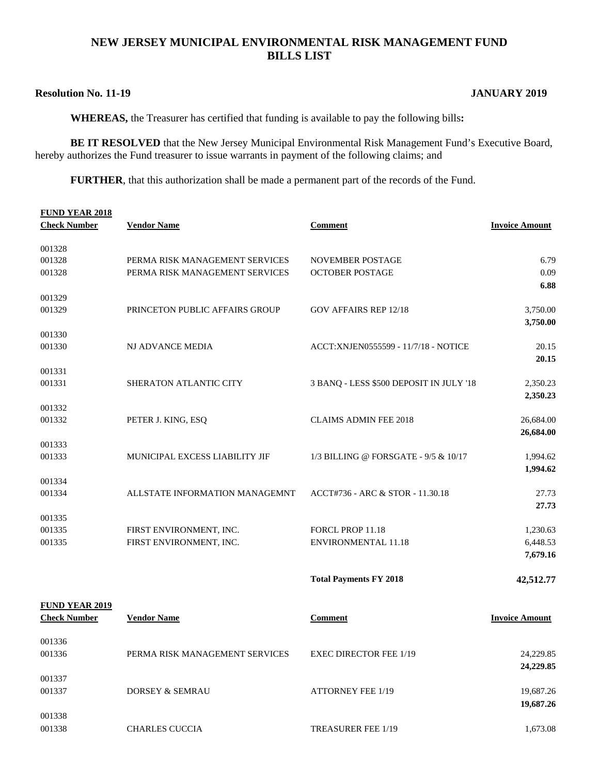#### **NEW JERSEY MUNICIPAL ENVIRONMENTAL RISK MANAGEMENT FUND BILLS LIST**

#### **Resolution No. 11-19 JANUARY 2019**

**WHEREAS,** the Treasurer has certified that funding is available to pay the following bills**:** 

**BE IT RESOLVED** that the New Jersey Municipal Environmental Risk Management Fund's Executive Board, hereby authorizes the Fund treasurer to issue warrants in payment of the following claims; and

**FURTHER**, that this authorization shall be made a permanent part of the records of the Fund.

| <b>Check Number</b><br><b>Vendor Name</b><br><b>Comment</b><br><b>Invoice Amount</b><br>001328<br>001328<br>PERMA RISK MANAGEMENT SERVICES<br><b>NOVEMBER POSTAGE</b><br>6.79<br>0.09<br>001328<br>PERMA RISK MANAGEMENT SERVICES<br><b>OCTOBER POSTAGE</b><br>6.88<br>001329<br><b>GOV AFFAIRS REP 12/18</b><br>001329<br>PRINCETON PUBLIC AFFAIRS GROUP<br>3,750.00<br>3,750.00<br>001330<br>001330<br>20.15<br>NJ ADVANCE MEDIA<br>ACCT:XNJEN0555599 - 11/7/18 - NOTICE<br>20.15<br>001331<br>001331<br><b>SHERATON ATLANTIC CITY</b><br>3 BANQ - LESS \$500 DEPOSIT IN JULY '18<br>2,350.23<br>2,350.23<br>001332<br>001332<br><b>CLAIMS ADMIN FEE 2018</b><br>26,684.00<br>PETER J. KING, ESQ<br>26,684.00<br>001333<br>001333<br>MUNICIPAL EXCESS LIABILITY JIF<br>1/3 BILLING @ FORSGATE - 9/5 & 10/17<br>1,994.62<br>1,994.62<br>001334<br>001334<br>ALLSTATE INFORMATION MANAGEMNT<br>ACCT#736 - ARC & STOR - 11.30.18<br>27.73<br>27.73<br>001335<br>001335<br>FIRST ENVIRONMENT, INC.<br>FORCL PROP 11.18<br>1,230.63<br><b>ENVIRONMENTAL 11.18</b><br>6,448.53<br>001335<br>FIRST ENVIRONMENT, INC.<br>7,679.16<br><b>Total Payments FY 2018</b><br>42,512.77<br><b>FUND YEAR 2019</b><br><b>Check Number</b><br><u>Vendor Name</u><br><b>Comment</b><br><b>Invoice Amount</b><br>001336<br>001336<br>PERMA RISK MANAGEMENT SERVICES<br><b>EXEC DIRECTOR FEE 1/19</b><br>24,229.85<br>24,229.85<br>001337<br>001337<br><b>DORSEY &amp; SEMRAU</b><br><b>ATTORNEY FEE 1/19</b><br>19,687.26<br>19,687.26 | <b>FUND YEAR 2018</b> |  |  |
|---------------------------------------------------------------------------------------------------------------------------------------------------------------------------------------------------------------------------------------------------------------------------------------------------------------------------------------------------------------------------------------------------------------------------------------------------------------------------------------------------------------------------------------------------------------------------------------------------------------------------------------------------------------------------------------------------------------------------------------------------------------------------------------------------------------------------------------------------------------------------------------------------------------------------------------------------------------------------------------------------------------------------------------------------------------------------------------------------------------------------------------------------------------------------------------------------------------------------------------------------------------------------------------------------------------------------------------------------------------------------------------------------------------------------------------------------------------------------------------------------------------------|-----------------------|--|--|
|                                                                                                                                                                                                                                                                                                                                                                                                                                                                                                                                                                                                                                                                                                                                                                                                                                                                                                                                                                                                                                                                                                                                                                                                                                                                                                                                                                                                                                                                                                                     |                       |  |  |
|                                                                                                                                                                                                                                                                                                                                                                                                                                                                                                                                                                                                                                                                                                                                                                                                                                                                                                                                                                                                                                                                                                                                                                                                                                                                                                                                                                                                                                                                                                                     |                       |  |  |
|                                                                                                                                                                                                                                                                                                                                                                                                                                                                                                                                                                                                                                                                                                                                                                                                                                                                                                                                                                                                                                                                                                                                                                                                                                                                                                                                                                                                                                                                                                                     |                       |  |  |
|                                                                                                                                                                                                                                                                                                                                                                                                                                                                                                                                                                                                                                                                                                                                                                                                                                                                                                                                                                                                                                                                                                                                                                                                                                                                                                                                                                                                                                                                                                                     |                       |  |  |
|                                                                                                                                                                                                                                                                                                                                                                                                                                                                                                                                                                                                                                                                                                                                                                                                                                                                                                                                                                                                                                                                                                                                                                                                                                                                                                                                                                                                                                                                                                                     |                       |  |  |
|                                                                                                                                                                                                                                                                                                                                                                                                                                                                                                                                                                                                                                                                                                                                                                                                                                                                                                                                                                                                                                                                                                                                                                                                                                                                                                                                                                                                                                                                                                                     |                       |  |  |
|                                                                                                                                                                                                                                                                                                                                                                                                                                                                                                                                                                                                                                                                                                                                                                                                                                                                                                                                                                                                                                                                                                                                                                                                                                                                                                                                                                                                                                                                                                                     |                       |  |  |
|                                                                                                                                                                                                                                                                                                                                                                                                                                                                                                                                                                                                                                                                                                                                                                                                                                                                                                                                                                                                                                                                                                                                                                                                                                                                                                                                                                                                                                                                                                                     |                       |  |  |
|                                                                                                                                                                                                                                                                                                                                                                                                                                                                                                                                                                                                                                                                                                                                                                                                                                                                                                                                                                                                                                                                                                                                                                                                                                                                                                                                                                                                                                                                                                                     |                       |  |  |
|                                                                                                                                                                                                                                                                                                                                                                                                                                                                                                                                                                                                                                                                                                                                                                                                                                                                                                                                                                                                                                                                                                                                                                                                                                                                                                                                                                                                                                                                                                                     |                       |  |  |
|                                                                                                                                                                                                                                                                                                                                                                                                                                                                                                                                                                                                                                                                                                                                                                                                                                                                                                                                                                                                                                                                                                                                                                                                                                                                                                                                                                                                                                                                                                                     |                       |  |  |
|                                                                                                                                                                                                                                                                                                                                                                                                                                                                                                                                                                                                                                                                                                                                                                                                                                                                                                                                                                                                                                                                                                                                                                                                                                                                                                                                                                                                                                                                                                                     |                       |  |  |
|                                                                                                                                                                                                                                                                                                                                                                                                                                                                                                                                                                                                                                                                                                                                                                                                                                                                                                                                                                                                                                                                                                                                                                                                                                                                                                                                                                                                                                                                                                                     |                       |  |  |
|                                                                                                                                                                                                                                                                                                                                                                                                                                                                                                                                                                                                                                                                                                                                                                                                                                                                                                                                                                                                                                                                                                                                                                                                                                                                                                                                                                                                                                                                                                                     |                       |  |  |
|                                                                                                                                                                                                                                                                                                                                                                                                                                                                                                                                                                                                                                                                                                                                                                                                                                                                                                                                                                                                                                                                                                                                                                                                                                                                                                                                                                                                                                                                                                                     |                       |  |  |
|                                                                                                                                                                                                                                                                                                                                                                                                                                                                                                                                                                                                                                                                                                                                                                                                                                                                                                                                                                                                                                                                                                                                                                                                                                                                                                                                                                                                                                                                                                                     |                       |  |  |
|                                                                                                                                                                                                                                                                                                                                                                                                                                                                                                                                                                                                                                                                                                                                                                                                                                                                                                                                                                                                                                                                                                                                                                                                                                                                                                                                                                                                                                                                                                                     |                       |  |  |
|                                                                                                                                                                                                                                                                                                                                                                                                                                                                                                                                                                                                                                                                                                                                                                                                                                                                                                                                                                                                                                                                                                                                                                                                                                                                                                                                                                                                                                                                                                                     |                       |  |  |
|                                                                                                                                                                                                                                                                                                                                                                                                                                                                                                                                                                                                                                                                                                                                                                                                                                                                                                                                                                                                                                                                                                                                                                                                                                                                                                                                                                                                                                                                                                                     |                       |  |  |
|                                                                                                                                                                                                                                                                                                                                                                                                                                                                                                                                                                                                                                                                                                                                                                                                                                                                                                                                                                                                                                                                                                                                                                                                                                                                                                                                                                                                                                                                                                                     |                       |  |  |
|                                                                                                                                                                                                                                                                                                                                                                                                                                                                                                                                                                                                                                                                                                                                                                                                                                                                                                                                                                                                                                                                                                                                                                                                                                                                                                                                                                                                                                                                                                                     |                       |  |  |
|                                                                                                                                                                                                                                                                                                                                                                                                                                                                                                                                                                                                                                                                                                                                                                                                                                                                                                                                                                                                                                                                                                                                                                                                                                                                                                                                                                                                                                                                                                                     |                       |  |  |
|                                                                                                                                                                                                                                                                                                                                                                                                                                                                                                                                                                                                                                                                                                                                                                                                                                                                                                                                                                                                                                                                                                                                                                                                                                                                                                                                                                                                                                                                                                                     |                       |  |  |
|                                                                                                                                                                                                                                                                                                                                                                                                                                                                                                                                                                                                                                                                                                                                                                                                                                                                                                                                                                                                                                                                                                                                                                                                                                                                                                                                                                                                                                                                                                                     |                       |  |  |
|                                                                                                                                                                                                                                                                                                                                                                                                                                                                                                                                                                                                                                                                                                                                                                                                                                                                                                                                                                                                                                                                                                                                                                                                                                                                                                                                                                                                                                                                                                                     |                       |  |  |
|                                                                                                                                                                                                                                                                                                                                                                                                                                                                                                                                                                                                                                                                                                                                                                                                                                                                                                                                                                                                                                                                                                                                                                                                                                                                                                                                                                                                                                                                                                                     |                       |  |  |
|                                                                                                                                                                                                                                                                                                                                                                                                                                                                                                                                                                                                                                                                                                                                                                                                                                                                                                                                                                                                                                                                                                                                                                                                                                                                                                                                                                                                                                                                                                                     |                       |  |  |
|                                                                                                                                                                                                                                                                                                                                                                                                                                                                                                                                                                                                                                                                                                                                                                                                                                                                                                                                                                                                                                                                                                                                                                                                                                                                                                                                                                                                                                                                                                                     |                       |  |  |
|                                                                                                                                                                                                                                                                                                                                                                                                                                                                                                                                                                                                                                                                                                                                                                                                                                                                                                                                                                                                                                                                                                                                                                                                                                                                                                                                                                                                                                                                                                                     |                       |  |  |
|                                                                                                                                                                                                                                                                                                                                                                                                                                                                                                                                                                                                                                                                                                                                                                                                                                                                                                                                                                                                                                                                                                                                                                                                                                                                                                                                                                                                                                                                                                                     |                       |  |  |
|                                                                                                                                                                                                                                                                                                                                                                                                                                                                                                                                                                                                                                                                                                                                                                                                                                                                                                                                                                                                                                                                                                                                                                                                                                                                                                                                                                                                                                                                                                                     |                       |  |  |
|                                                                                                                                                                                                                                                                                                                                                                                                                                                                                                                                                                                                                                                                                                                                                                                                                                                                                                                                                                                                                                                                                                                                                                                                                                                                                                                                                                                                                                                                                                                     |                       |  |  |
|                                                                                                                                                                                                                                                                                                                                                                                                                                                                                                                                                                                                                                                                                                                                                                                                                                                                                                                                                                                                                                                                                                                                                                                                                                                                                                                                                                                                                                                                                                                     |                       |  |  |
|                                                                                                                                                                                                                                                                                                                                                                                                                                                                                                                                                                                                                                                                                                                                                                                                                                                                                                                                                                                                                                                                                                                                                                                                                                                                                                                                                                                                                                                                                                                     |                       |  |  |
|                                                                                                                                                                                                                                                                                                                                                                                                                                                                                                                                                                                                                                                                                                                                                                                                                                                                                                                                                                                                                                                                                                                                                                                                                                                                                                                                                                                                                                                                                                                     | 001338                |  |  |

001338 CHARLES CUCCIA TREASURER FEE 1/19 1.673.08